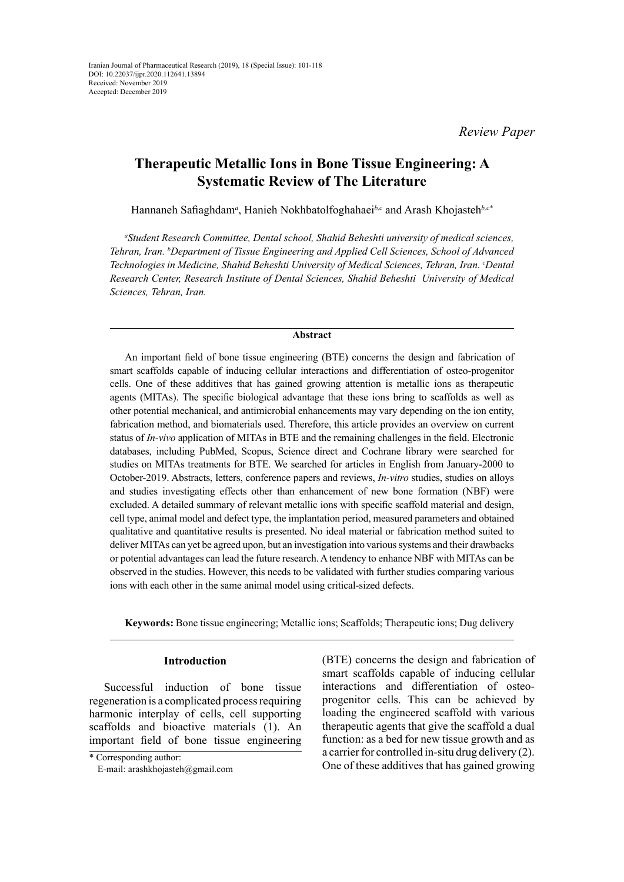*Review Paper*

# **Therapeutic Metallic Ions in Bone Tissue Engineering: A Systematic Review of The Literature**

Hannaneh Safiaghdam*<sup>a</sup>* , Hanieh Nokhbatolfoghahaei*b,c* and Arash Khojasteh*b,c\**

*a Student Research Committee, Dental school, Shahid Beheshti university of medical sciences, Tehran, Iran. b Department of Tissue Engineering and Applied Cell Sciences, School of Advanced*  Technologies in Medicine, Shahid Beheshti University of Medical Sciences, Tehran, Iran. *°Dental Research Center, Research Institute of Dental Sciences, Shahid Beheshti University of Medical Sciences, Tehran, Iran.*

## **Abstract**

An important field of bone tissue engineering (BTE) concerns the design and fabrication of smart scaffolds capable of inducing cellular interactions and differentiation of osteo-progenitor cells. One of these additives that has gained growing attention is metallic ions as therapeutic agents (MITAs). The specific biological advantage that these ions bring to scaffolds as well as other potential mechanical, and antimicrobial enhancements may vary depending on the ion entity, fabrication method, and biomaterials used. Therefore, this article provides an overview on current status of *In-vivo* application of MITAs in BTE and the remaining challenges in the field. Electronic databases, including PubMed, Scopus, Science direct and Cochrane library were searched for studies on MITAs treatments for BTE. We searched for articles in English from January-2000 to October-2019. Abstracts, letters, conference papers and reviews, *In-vitro* studies, studies on alloys and studies investigating effects other than enhancement of new bone formation (NBF) were excluded. A detailed summary of relevant metallic ions with specific scaffold material and design, cell type, animal model and defect type, the implantation period, measured parameters and obtained qualitative and quantitative results is presented. No ideal material or fabrication method suited to deliver MITAs can yet be agreed upon, but an investigation into various systems and their drawbacks or potential advantages can lead the future research. A tendency to enhance NBF with MITAs can be observed in the studies. However, this needs to be validated with further studies comparing various ions with each other in the same animal model using critical-sized defects.

**Keywords:** Bone tissue engineering; Metallic ions; Scaffolds; Therapeutic ions; Dug delivery

### **Introduction**

Successful induction of bone tissue regeneration is a complicated process requiring harmonic interplay of cells, cell supporting scaffolds and bioactive materials (1). An important field of bone tissue engineering (BTE) concerns the design and fabrication of smart scaffolds capable of inducing cellular interactions and differentiation of osteoprogenitor cells. This can be achieved by loading the engineered scaffold with various therapeutic agents that give the scaffold a dual function: as a bed for new tissue growth and as a carrier for controlled in-situ drug delivery (2). One of these additives that has gained growing

<sup>\*</sup> Corresponding author:

E-mail: arashkhojasteh@gmail.com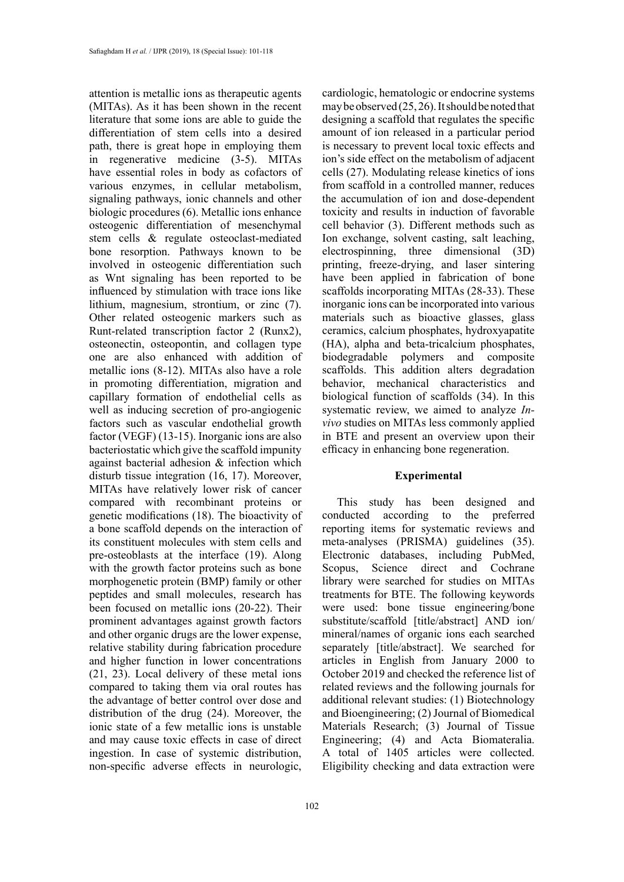attention is metallic ions as therapeutic agents (MITAs). As it has been shown in the recent literature that some ions are able to guide the differentiation of stem cells into a desired path, there is great hope in employing them in regenerative medicine (3-5). MITAs have essential roles in body as cofactors of various enzymes, in cellular metabolism, signaling pathways, ionic channels and other biologic procedures (6). Metallic ions enhance osteogenic differentiation of mesenchymal stem cells & regulate osteoclast-mediated bone resorption. Pathways known to be involved in osteogenic differentiation such as Wnt signaling has been reported to be influenced by stimulation with trace ions like lithium, magnesium, strontium, or zinc (7). Other related osteogenic markers such as Runt-related transcription factor 2 (Runx2), osteonectin, osteopontin, and collagen type one are also enhanced with addition of metallic ions (8-12). MITAs also have a role in promoting differentiation, migration and capillary formation of endothelial cells as well as inducing secretion of pro-angiogenic factors such as vascular endothelial growth factor (VEGF) (13-15). Inorganic ions are also bacteriostatic which give the scaffold impunity against bacterial adhesion & infection which disturb tissue integration (16, 17). Moreover, MITAs have relatively lower risk of cancer compared with recombinant proteins or genetic modifications (18). The bioactivity of a bone scaffold depends on the interaction of its constituent molecules with stem cells and pre-osteoblasts at the interface (19). Along with the growth factor proteins such as bone morphogenetic protein (BMP) family or other peptides and small molecules, research has been focused on metallic ions (20-22). Their prominent advantages against growth factors and other organic drugs are the lower expense, relative stability during fabrication procedure and higher function in lower concentrations (21, 23). Local delivery of these metal ions compared to taking them via oral routes has the advantage of better control over dose and distribution of the drug (24). Moreover, the ionic state of a few metallic ions is unstable and may cause toxic effects in case of direct ingestion. In case of systemic distribution, non-specific adverse effects in neurologic,

cardiologic, hematologic or endocrine systems may be observed (25, 26). It should be noted that designing a scaffold that regulates the specific amount of ion released in a particular period is necessary to prevent local toxic effects and ion's side effect on the metabolism of adjacent cells (27). Modulating release kinetics of ions from scaffold in a controlled manner, reduces the accumulation of ion and dose-dependent toxicity and results in induction of favorable cell behavior (3). Different methods such as Ion exchange, solvent casting, salt leaching, electrospinning, three dimensional (3D) printing, freeze-drying, and laser sintering have been applied in fabrication of bone scaffolds incorporating MITAs (28-33). These inorganic ions can be incorporated into various materials such as bioactive glasses, glass ceramics, calcium phosphates, hydroxyapatite (HA), alpha and beta-tricalcium phosphates, biodegradable polymers and composite scaffolds. This addition alters degradation behavior, mechanical characteristics and biological function of scaffolds (34). In this systematic review, we aimed to analyze *Invivo* studies on MITAs less commonly applied in BTE and present an overview upon their efficacy in enhancing bone regeneration.

# **Experimental**

This study has been designed and conducted according to the preferred reporting items for systematic reviews and meta-analyses (PRISMA) guidelines (35). Electronic databases, including PubMed, Scopus, Science direct and Cochrane library were searched for studies on MITAs treatments for BTE. The following keywords were used: bone tissue engineering/bone substitute/scaffold [title/abstract] AND ion/ mineral/names of organic ions each searched separately [title/abstract]. We searched for articles in English from January 2000 to October 2019 and checked the reference list of related reviews and the following journals for additional relevant studies: (1) Biotechnology and Bioengineering; (2) Journal of Biomedical Materials Research; (3) Journal of Tissue Engineering; (4) and Acta Biomateralia. A total of 1405 articles were collected. Eligibility checking and data extraction were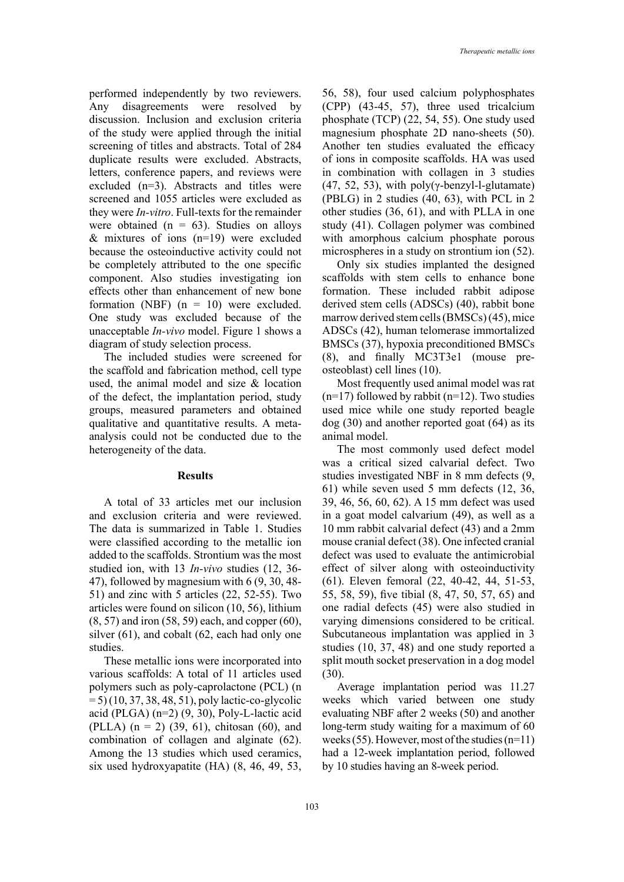performed independently by two reviewers. Any disagreements were resolved by discussion. Inclusion and exclusion criteria of the study were applied through the initial screening of titles and abstracts. Total of 284 duplicate results were excluded. Abstracts, letters, conference papers, and reviews were excluded (n=3). Abstracts and titles were screened and 1055 articles were excluded as they were *In-vitro*. Full-texts for the remainder were obtained ( $n = 63$ ). Studies on alloys  $&$  mixtures of ions (n=19) were excluded because the osteoinductive activity could not be completely attributed to the one specific component. Also studies investigating ion effects other than enhancement of new bone formation (NBF)  $(n = 10)$  were excluded. One study was excluded because of the unacceptable *In-vivo* model. Figure 1 shows a diagram of study selection process.

The included studies were screened for the scaffold and fabrication method, cell type used, the animal model and size & location of the defect, the implantation period, study groups, measured parameters and obtained qualitative and quantitative results. A metaanalysis could not be conducted due to the heterogeneity of the data.

#### **Results**

A total of 33 articles met our inclusion and exclusion criteria and were reviewed. The data is summarized in Table 1. Studies were classified according to the metallic ion added to the scaffolds. Strontium was the most studied ion, with 13 *In-vivo* studies (12, 36- 47), followed by magnesium with 6 (9, 30, 48- 51) and zinc with 5 articles (22, 52-55). Two articles were found on silicon (10, 56), lithium (8, 57) and iron (58, 59) each, and copper (60), silver (61), and cobalt (62, each had only one studies.

These metallic ions were incorporated into various scaffolds: A total of 11 articles used polymers such as poly-caprolactone (PCL) (n  $= 5$ ) (10, 37, 38, 48, 51), poly lactic-co-glycolic acid (PLGA) (n=2) (9, 30), Poly-L-lactic acid (PLLA)  $(n = 2)$  (39, 61), chitosan (60), and combination of collagen and alginate (62). Among the 13 studies which used ceramics, six used hydroxyapatite (HA) (8, 46, 49, 53, 56, 58), four used calcium polyphosphates (CPP) (43-45, 57), three used tricalcium phosphate (TCP) (22, 54, 55). One study used magnesium phosphate 2D nano-sheets (50). Another ten studies evaluated the efficacy of ions in composite scaffolds. HA was used in combination with collagen in 3 studies (47, 52, 53), with  $poly(\gamma$ -benzyl-l-glutamate) (PBLG) in 2 studies (40, 63), with PCL in 2 other studies (36, 61), and with PLLA in one study (41). Collagen polymer was combined with amorphous calcium phosphate porous microspheres in a study on strontium ion (52).

Only six studies implanted the designed scaffolds with stem cells to enhance bone formation. These included rabbit adipose derived stem cells (ADSCs) (40), rabbit bone marrow derived stem cells (BMSCs) (45), mice ADSCs (42), human telomerase immortalized BMSCs (37), hypoxia preconditioned BMSCs (8), and finally MC3T3e1 (mouse preosteoblast) cell lines (10).

Most frequently used animal model was rat  $(n=17)$  followed by rabbit  $(n=12)$ . Two studies used mice while one study reported beagle dog (30) and another reported goat (64) as its animal model.

The most commonly used defect model was a critical sized calvarial defect. Two studies investigated NBF in 8 mm defects (9, 61) while seven used 5 mm defects (12, 36, 39, 46, 56, 60, 62). A 15 mm defect was used in a goat model calvarium (49), as well as a 10 mm rabbit calvarial defect (43) and a 2mm mouse cranial defect (38). One infected cranial defect was used to evaluate the antimicrobial effect of silver along with osteoinductivity (61). Eleven femoral (22, 40-42, 44, 51-53, 55, 58, 59), five tibial (8, 47, 50, 57, 65) and one radial defects (45) were also studied in varying dimensions considered to be critical. Subcutaneous implantation was applied in 3 studies (10, 37, 48) and one study reported a split mouth socket preservation in a dog model (30).

Average implantation period was 11.27 weeks which varied between one study evaluating NBF after 2 weeks (50) and another long-term study waiting for a maximum of 60 weeks (55). However, most of the studies (n=11) had a 12-week implantation period, followed by 10 studies having an 8-week period.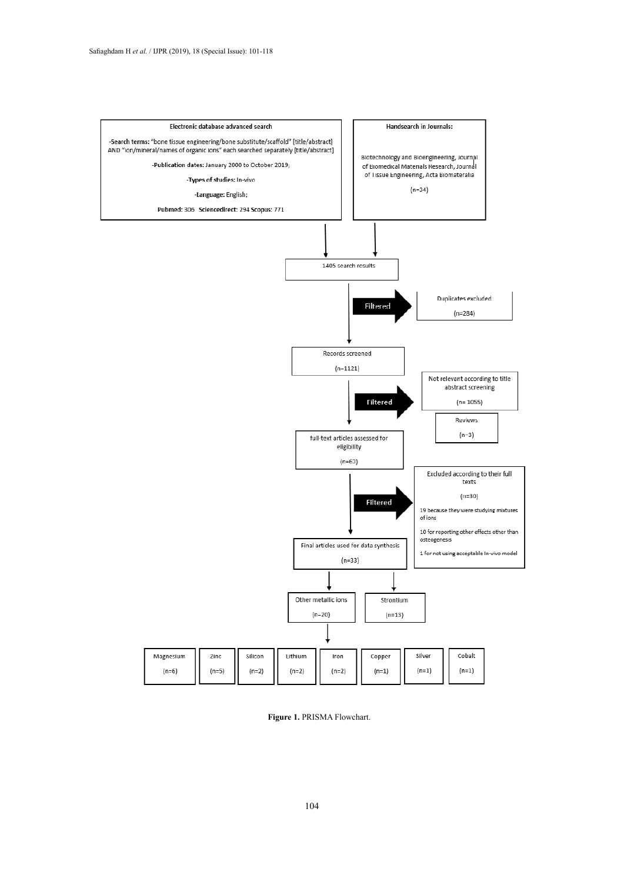

**Figure 1.** PRISMA Flowchart.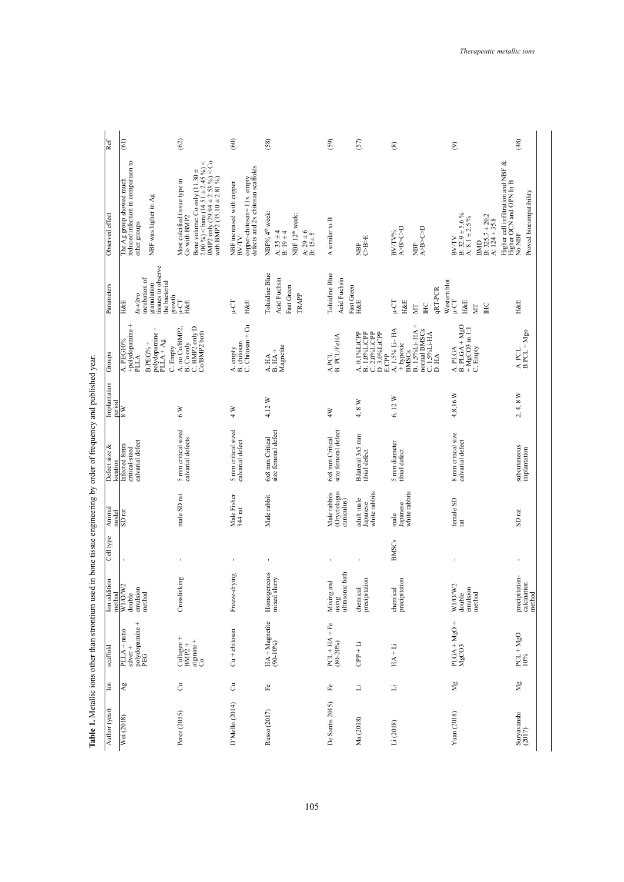| Implantation<br>period<br>Defect size $\&$<br>location               | Animal<br>model<br>Cell type |                                                             |                               | scaffold                                                                                                                |
|----------------------------------------------------------------------|------------------------------|-------------------------------------------------------------|-------------------------------|-------------------------------------------------------------------------------------------------------------------------|
| $\frac{8}{10}$<br>calvarial defect<br>Infected 8mm<br>critical-sized |                              | SD <sub>rat</sub>                                           |                               | Ion addition<br>method<br>W1/O/W2<br>double<br>emulsion<br>method<br>polydopamine +<br>PEG<br>PLLA + nano<br>$silver +$ |
| $\frac{8}{3}$<br>5 mm critical sized<br>calvarial defects            |                              | male SD rat<br>$\mathbf{r}$                                 | Crosslinking                  | $\begin{array}{lcl} \mathrm{Collagen} \; + \\ \mathrm{BMP2} \; + \end{array}$<br>$\frac{a}{c}$<br>Co                    |
| $\frac{1}{4}$<br>5 mm critical sized<br>calvarial defect             |                              | Male Fisher<br>344 rat<br>$\blacksquare$                    | Freeze-drying                 | $Cu + chitosan$                                                                                                         |
| 4,12 W<br>size femoral defect<br>6x8 mm Critical                     |                              | Male rabbit                                                 | Homogeneous<br>mixed slurry   | $HA + Magnetic$<br>(90-10%)                                                                                             |
| 4W<br>size femoral defect<br>6x8 mm Critical                         |                              | Oryctolagus<br>Male rabbits<br>cuniculus)<br>$\blacksquare$ | ultrasonic bath<br>Mixing and | $u\sin g$<br>PCL + HA + Fe $(80-20%)$                                                                                   |
| $4,8 W$<br>Bilateral 3x5 mm<br>tibial defect                         |                              | white rabbits<br>adult male<br>Japanese<br>ï                | precipitation<br>chemical     | $CPP + Li$                                                                                                              |
| 6,12W<br>5 mm diameter<br>tibial defect                              |                              | white rabbits<br>male<br>Japanese<br><b>BMSCs</b>           |                               | chemical<br>precipitation<br>$HA + Li$                                                                                  |
| $4,8,16$ W<br>8 mm critical size<br>calvarial defect                 |                              | female SD<br>t<br>$\blacksquare$                            |                               | W1/O/W2<br>double<br>emulsion<br>method<br>PLGA + MgO +<br>MgCO3                                                        |
| $4,8\ \mathrm{W}$<br>$\sim$<br>subcutaneous<br>implantation          |                              | SD <sub>rat</sub><br>$\mathbf{I}$                           |                               | precipitation-<br>calcination<br>method<br>$PCL + MgO$<br>$10\%$                                                        |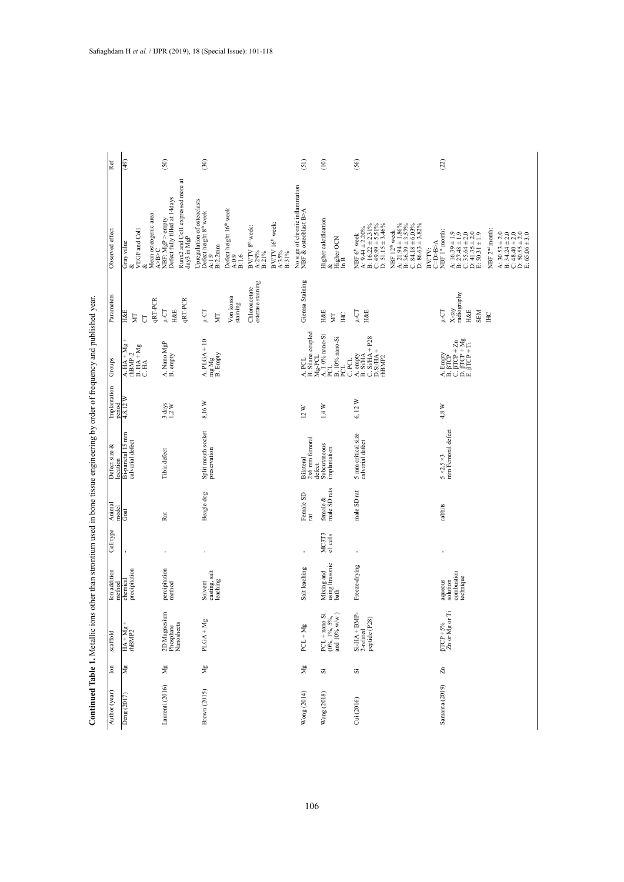Continued Table 1. Metallic ions other than strontium used in bone tissue engineering by order of frequency and published year. **Continued Table 1.** Metallic ions other than strontium used in bone tissue engineering by order of frequency and published year.

| Ref                       | (49)                                                                    | (50)                                                                                                 | (30)                                                                                                                                             |                                                                                                 | (51)                                                                    | (10)                                            | (56)                                                                                                                                                       |                                                                                                                                                                                       | (22)                                                                                                                                                                                                        |                                                                                                                                          |
|---------------------------|-------------------------------------------------------------------------|------------------------------------------------------------------------------------------------------|--------------------------------------------------------------------------------------------------------------------------------------------------|-------------------------------------------------------------------------------------------------|-------------------------------------------------------------------------|-------------------------------------------------|------------------------------------------------------------------------------------------------------------------------------------------------------------|---------------------------------------------------------------------------------------------------------------------------------------------------------------------------------------|-------------------------------------------------------------------------------------------------------------------------------------------------------------------------------------------------------------|------------------------------------------------------------------------------------------------------------------------------------------|
| Observed effect           | Mean osteogenic area:<br>A>B>C<br>VEGF and Coll<br>Gray value<br>శ<br>ళ | Runx2 and Coll expressed more at<br>day3 in MgP<br>Defect fully filled at 14days<br>NBF: MgP > empty | Upregulation of osteoclasts<br>Defect height 8 <sup>th</sup> week<br>Defect height 16 <sup>th</sup> week<br>B:2.2mm<br>A:1.9<br>$A:0.9$<br>B:1.6 | BV/TV 16 <sup>th</sup> week:<br>BV/TV 8 <sup>th</sup> week:<br>A:35%<br>B:31%<br>A:29%<br>B:21% | No sign of chronic inflammation<br>NBF $\&$ osteoblast B>A              | Higher calcification<br>&<br>Higher OCN<br>In B | A: $9.44 \pm 2.20\%$<br>B: $16.22 \pm 2.31\%$<br>C: $49.99 \pm 5.51\%$<br>C: $51.15 \pm 3.46\%$<br>NBF 6 <sup>th</sup> week                                | $\begin{array}{l} \text{A: } 21.94 \pm 1.86\% \\ \text{B: } 36.39 \pm 3.57\% \\ \text{C: } 84.18 \pm 6.03\% \\ \text{D: } 86.63 \pm 3.82\% \end{array}$<br>NBF 12 <sup>th</sup> week: | NBF 1st month:<br>$\begin{array}{l} \text{A: } 16.39 \pm 1.9 \\ \text{B: } 27.48 \pm 1.9 \\ \text{C: } 35.64 \pm 2.0 \\ \text{D: } 41.35 \pm 2.0 \\ \text{E: } 50.31 \pm 1.9 \end{array}$<br>$BVTV: C=DB>A$ | NBF 2 <sup>nd</sup> month:<br>A: 30.53 $\pm$ 2.0<br>B: 34.24 $\pm$ 2.0<br>C: 48.40 $\pm$ 2.0<br>D: 50.55 $\pm$ 2.0<br>E: 65.06 $\pm$ 3.0 |
| Parameters                | qRT-PCR<br><b>H&amp;E</b><br>MТ<br>$\overline{\text{C}}$                | qRT-PCR<br>$L-CT$<br><b>H&amp;E</b>                                                                  | Von kossa<br>staining<br>$\mu$ -CT<br>ΣÑ                                                                                                         | esterase staining<br>Chloroacetate                                                              | Giemsa Staining                                                         | <b>H&amp;E</b><br>H <sub>C</sub><br>МT          | $\mathop{\text{I\,{\small -}C}}\nolimits\Gamma$<br><b>H&amp;E</b>                                                                                          |                                                                                                                                                                                       | radiography<br>$X$ -ray<br><b>TO-11</b><br>H&E<br>SEM                                                                                                                                                       | E                                                                                                                                        |
| Groups                    | $A$ . HA + Mg -<br>rhBMP-2<br>$B. HA + Mg$<br>C. HA                     | A. Nano MgP<br>B. empty                                                                              | $A.$ PLGA + 10<br>$mg Mg$<br>B. Empty                                                                                                            |                                                                                                 | $A$ , PCL<br>B. Silane coupled<br>Mg-PCL                                | A. 1.0% nano-Si<br>B. 10% nano-Si<br>PCL<br>PCL | $\begin{array}{l} \text{A}.\text{ empty} \\ \text{B. Si/HA} \\ \text{C. Si/HA} + \text{P28} \\ \text{D. Si/HA} \end{array}$<br>rhBMP <sub>2</sub><br>C.PCL |                                                                                                                                                                                       | $\begin{array}{l} \text{A. Empty} \\ \text{B. fICP} \\ \text{C. fICP} + \text{Zn} \\ \text{D. fICP} + \text{Mg} \\ \text{E. fICP} + \text{Mg} \end{array}$                                                  |                                                                                                                                          |
| Implantation<br>period    | 4,8,12 W                                                                | $3 \text{ days}$<br>$1,2 \text{ W}$                                                                  | 8,16 W                                                                                                                                           |                                                                                                 | 12W                                                                     | $1,4$ W                                         | $6,12 \text{ W}$                                                                                                                                           |                                                                                                                                                                                       | $4.8~W$                                                                                                                                                                                                     |                                                                                                                                          |
| Defect size &<br>location | Bi-parietal 15 mm<br>calvarial defect                                   | Tibia defect                                                                                         | Split mouth socket<br>preservation                                                                                                               |                                                                                                 | $2x6$ mm femoral<br>defect $% \left( \beta ,\beta \right)$<br>Bilateral | Subcutaneous<br>implantation                    | 5 mm critical size<br>calvarial defect                                                                                                                     |                                                                                                                                                                                       | $5 \times 2.5 \times 3$<br>mm Femoral defect                                                                                                                                                                |                                                                                                                                          |
| Animal<br>model           | Goat                                                                    | Rat                                                                                                  | Beagle dog                                                                                                                                       |                                                                                                 | Female SD<br>rat                                                        | female $&$<br>male SD rats                      | male SD rat                                                                                                                                                |                                                                                                                                                                                       | rabbits                                                                                                                                                                                                     |                                                                                                                                          |
| Cell type                 | J.                                                                      |                                                                                                      |                                                                                                                                                  |                                                                                                 |                                                                         | MC3T3<br>el cells                               |                                                                                                                                                            |                                                                                                                                                                                       | ï                                                                                                                                                                                                           |                                                                                                                                          |
| Ion addition<br>method    | precipitation<br>chemical                                               | percipitation<br>method                                                                              | casting, salt<br>leaching<br>Solvent                                                                                                             |                                                                                                 | Salt leaching                                                           | Mixing and<br>using Itrasonic<br>bath           | Freeze-drying                                                                                                                                              |                                                                                                                                                                                       | combustion<br>technique<br>aqueous<br>solution                                                                                                                                                              |                                                                                                                                          |
| scaffold                  | $HA + Mg +$                                                             | 2D Magnesium<br>Phosphate<br>Nanosheets                                                              | $PLGA + Mg$                                                                                                                                      |                                                                                                 | $PCL + Mg$                                                              | PCL + nano Si<br>(0%, 1%, 5%,<br>and 10% w/w)   | $Si-HA + BMP-$<br>2-related<br>peptide (P28)                                                                                                               |                                                                                                                                                                                       | Ë<br>$\begin{array}{l}\n\beta\text{TCP} + 5\% \\ \text{Zn or } \text{Mg or}\n\end{array}$                                                                                                                   |                                                                                                                                          |
| $_{\rm{lon}}$             | Mg                                                                      | Mg                                                                                                   | $\mathbf{M}_{\mathbf{g}}$                                                                                                                        |                                                                                                 | $_{\rm Mg}$                                                             | s                                               | S                                                                                                                                                          |                                                                                                                                                                                       | $\rm Zn$                                                                                                                                                                                                    |                                                                                                                                          |
| Author (year)             | Deng (2017)                                                             | Laurenti (2016)                                                                                      | Brown (2015)                                                                                                                                     |                                                                                                 | Wong (2014)                                                             | Wang (2018)                                     | Cui (2016)                                                                                                                                                 |                                                                                                                                                                                       | Samanta (2019)                                                                                                                                                                                              |                                                                                                                                          |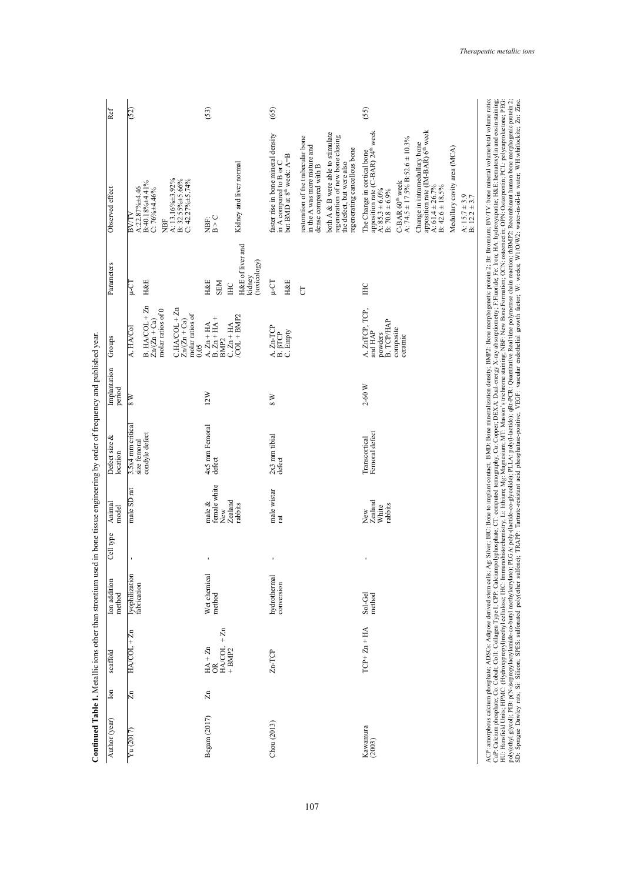| ā                     | $HACOL + Zn$                                                          |                               | model                                                  | location                                            | period         |                                                                                                                                      |                                                                                              |                                                                                                                                                                                                                                                                                                                                                                                                                          |      |
|-----------------------|-----------------------------------------------------------------------|-------------------------------|--------------------------------------------------------|-----------------------------------------------------|----------------|--------------------------------------------------------------------------------------------------------------------------------------|----------------------------------------------------------------------------------------------|--------------------------------------------------------------------------------------------------------------------------------------------------------------------------------------------------------------------------------------------------------------------------------------------------------------------------------------------------------------------------------------------------------------------------|------|
|                       |                                                                       | lyophilization<br>fabrication | male SD rat                                            | 3.5x4 mm critical<br>condyle defect<br>size femoral | $\frac{8}{10}$ | $B.$ HA/COL + $Zn$<br>$CHACOL + Zn$<br>$Zn/(Zn + Ca)$<br>molar ratios of 0<br>molar ratios of<br>$Zn/(Zn + Ca)$<br>A. HA/Col<br>0.05 | <b>H&amp;E</b><br>η<br>Τ                                                                     | A: 13.16%±3.92%<br>B: 32.55%±5.66%<br>C: 42.27%±5.74%<br>B:40.18%±4.41%<br>$A:22.87\% + 4.46$<br>$C: 76\% \pm 4.46\%$<br>BV/T<br>ÌЯN                                                                                                                                                                                                                                                                                     | (52) |
| $\Xi$<br>Begam (2017) | $+ Zn$<br>$\frac{HA/COL}{HBMP2}$<br>$H\mathbf{A} + \mathbf{Zn}$<br>OR | Wet chemical<br>method        | female white<br>Zealand<br>male $\&$<br>rabbits<br>New | 4x5 mm Femoral<br>defect                            | 12W            | $/COL + BMP2$<br>$A$ . $Zn + HA$<br>B. $Zn + HA +$<br>$C. Zn + HA$<br>BMP <sub>2</sub>                                               | H&E of liver and<br>(toxicology)<br>kidney<br><b>H&amp;E</b><br><b>NEN</b><br>H <sub>C</sub> | Kidney and liver normal<br>NBF:<br>B ^ C                                                                                                                                                                                                                                                                                                                                                                                 | (53) |
| Chou (2013)           | $Zn-TCP$                                                              | hydrothermal<br>conversion    | male wistar<br>rat                                     | $2x3$ mm tibial<br>defect                           | $\frac{8}{3}$  | $\begin{array}{c} \text{A. Zn-TCP} \\ \text{B. } \beta \text{TCP} \end{array}$<br>C. Empty                                           | <b>L-CT</b><br><b>H&amp;E</b><br>$\overline{C}$                                              | both A & B were able to stimulate<br>faster rise in bone mineral density<br>restoration of the trabecular bone<br>regeneration of new bone closing<br>in the A was more mature and<br>regenerating cancellous bone<br>in A compared to B or C<br>but BMD at $8^{\text{th}}$ week: A=B<br>the defect, but were also<br>dense compared with B                                                                              | (65) |
| Kawamura<br>(2003)    | $TCP + Zn + HA$                                                       | Sol-Gel<br>method             | New<br>Zealand<br>rabbits<br>White                     | Femoral defect<br>Transcortical                     | $2-60$ W       | A. $ZnTCP, TCP$ , $TCP$ , $and HAP$<br>В. ТСР/НАР<br>composite<br>powders<br>ceramic                                                 | H <sub>C</sub>                                                                               | Change in intramedullary bone<br>apposition rate $(M-BAR)$ $6^{\text{th}}$ week<br>apposition rate (C-BAR) 24 <sup>th</sup> week<br>C-BAR 60 <sup>th</sup> week<br>A: 74.5 ± 17.5% B:52.6 ± 10.3%<br>Medullary cavity area (MCA)<br>The Change in cortical bone<br>$\overline{A}: 61.4 \pm 26.7\%$<br>B: $42.6 \pm 18.5\%$<br>$\overline{A}: 85.3 \pm 6.0\%$<br>B: 70.8 ± 6.9%<br>A: $15.7 \pm 3.9$<br>B: $12.2 \pm 3.7$ | (55) |

107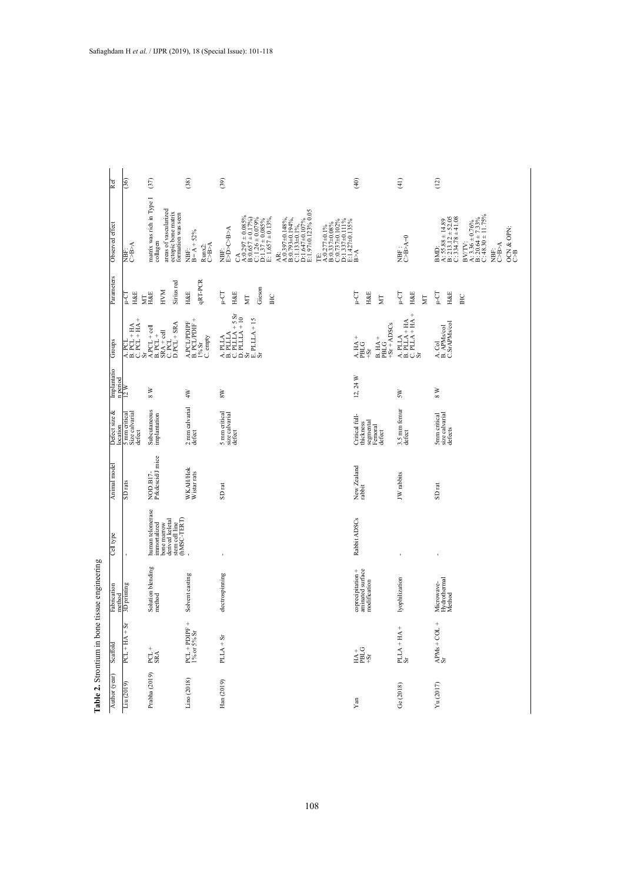| Ref                             | (36)                                                                                                                                                                                                                                                                              | (37)                                                                                                                                                     | (38)                                                             | (39)                                                                                                                                                                                                                                                                                                                                                                                                                                                                                                                                         | (40)                                                                                   | (41)                                                                                                       | (12)                                                                                                                                                                                          |
|---------------------------------|-----------------------------------------------------------------------------------------------------------------------------------------------------------------------------------------------------------------------------------------------------------------------------------|----------------------------------------------------------------------------------------------------------------------------------------------------------|------------------------------------------------------------------|----------------------------------------------------------------------------------------------------------------------------------------------------------------------------------------------------------------------------------------------------------------------------------------------------------------------------------------------------------------------------------------------------------------------------------------------------------------------------------------------------------------------------------------------|----------------------------------------------------------------------------------------|------------------------------------------------------------------------------------------------------------|-----------------------------------------------------------------------------------------------------------------------------------------------------------------------------------------------|
| Observed effect                 | NBF:<br>C-B>A                                                                                                                                                                                                                                                                     | matrix was rich in Type I<br>areas of vascularized<br>ectopic bone matrix<br>formation was seen<br>collagen                                              | $B = A + 52%$<br>$\underset{\text{C-B-A}}{\text{Runx2}}$<br>NBF: | $A.0.397\pm0.148\%$ ,<br>B:0.793±0.194%,<br>C:1.133±0.1%,<br>D:1.647±0.107%<br>E:1.97±0.123% 0.05<br>$\begin{array}{l} \text{CA} \\ \text{A:0.297}\pm 0.085\% \\ \text{B:0.657}\pm 0.17\% \\ \text{C:1.26}\pm 0.17\% \\ \text{D:1.37}\pm 0.085\% \\ \text{E:1.657}\pm 0.13\% \end{array}$<br>$\begin{array}{l} \text{TE:} \\ \text{A:0.277\pm0.1\%} \\ \text{B:0.337\pm0.08\%} \\ \text{C:0.737\pm0.102\%} \\ \text{C:0.737\pm0.102\%} \\ \text{E:1.427\pm0.111\%} \\ \text{E:1.427\pm0.135\%} \end{array}$<br><b>FORCOST</b><br>NBF:<br>AR: |                                                                                        | $MBF:$<br>C-B-A=0                                                                                          | BV/TV:<br>A: 3.36 ± 0.76%<br>B: 20.64 ± 7.33%<br>C: 48.30 ± 11.75%<br>A: $55.88 \pm 14.89$<br>B: 213.12 $\pm$ 52.05<br>C: 334.78 $\pm$ 41.08<br>$OCN & OPN:  COH$<br>$C$ -B-A<br>BMD:<br>NBF: |
| Parameters                      | <b>H&amp;E</b><br>ιù-π<br>Ĕ                                                                                                                                                                                                                                                       | Sirius red<br>HVM<br><b>H&amp;E</b>                                                                                                                      | <b>qRT-PCR</b><br><b>H&amp;E</b>                                 | Gieson<br>ЦJ-ц<br><b>H&amp;E</b><br>HC<br>$\overline{\rm M}$                                                                                                                                                                                                                                                                                                                                                                                                                                                                                 | ις<br>Ε<br><b>H&amp;E</b><br>ΣÏ                                                        | L-CT<br><b>H&amp;E</b><br>$\overline{\Xi}$                                                                 | <b>H&amp;E</b><br>5L<br>P-T<br>HC                                                                                                                                                             |
| Groups                          | $\begin{array}{c} 1.764 \pm 0.0000 \pm 0.00000 \pm 0.00000 \pm 0.00000 \pm 0.00000 \pm 0.00000 \pm 0.00000 \pm 0.00000 \pm 0.00000 \pm 0.00000 \pm 0.00000 \pm 0.00000 \pm 0.00000 \pm 0.00000 \pm 0.00000 \pm 0.00000 \pm 0.00000 \pm 0.00000 \pm 0.00000 \pm 0.00000 \pm 0.000$ | $\begin{array}{l} \text{A. PCL} + \text{cell} \\ \text{B. PCL} + \\ \text{SRA} + \text{cell} \\ \text{C. PCL} \\ \text{D. PCL} + \text{SRA} \end{array}$ | ${\bf A.PCLPDFF} \atop {\bf B.PCLPDF+}$<br>C. empty<br>$1\%$ Sr  | $\begin{array}{l} \text{A. PLLA} \\ \text{B. PLLA} \\ \text{C. PLLA} + \text{5. Sr} \\ \text{D. PLLA} + 10 \\ \text{E. PLLA} + 10 \\ \text{S. PLLA} + 15 \end{array}$                                                                                                                                                                                                                                                                                                                                                                        | $+Sr + ADCS$<br>A.HA+<br>$B. HA +$<br>PBLG<br>PBLG<br>$1S +$                           | $\begin{array}{l} \text{A. PLLA} \\ \text{B. PLLA + HA} \\ \text{C. PLLA + HA +} \\ \text{Sr} \end{array}$ | A. Col<br>B. APMs/col<br>C.Sr.APMs/col                                                                                                                                                        |
| Implantatio<br>n period<br>12 W |                                                                                                                                                                                                                                                                                   | $_{\rm 8}$ w                                                                                                                                             | $4W$                                                             | $8\mathrm{W}$                                                                                                                                                                                                                                                                                                                                                                                                                                                                                                                                | $12, 24$ W                                                                             | SW                                                                                                         | $_{\rm 8}$ w                                                                                                                                                                                  |
| Defect size &<br>location       | 5 mm critical<br>Size calvarial<br>defect                                                                                                                                                                                                                                         | Subcutaneous<br>implantation                                                                                                                             | 2 mm calvarial<br>defect                                         | 5 mm critical<br>size calvarial<br>defect                                                                                                                                                                                                                                                                                                                                                                                                                                                                                                    | Critical full-<br>segmental<br>thickness<br>Femoral<br>defect                          | $3.5\,\mathrm{mm}$ femur<br>$\mathrm{defect}$                                                              | 5mm critical<br>size calvarial<br>defects                                                                                                                                                     |
| Animal model                    | SD <sub>rats</sub>                                                                                                                                                                                                                                                                | NOD.B17-<br>Prkdcscid/J mice                                                                                                                             | WKAH/Hok<br>Wistar rats                                          | $\mathop{\rm SD}\nolimits$ rat                                                                                                                                                                                                                                                                                                                                                                                                                                                                                                               | New Zealand<br>rabbit                                                                  | JW rabbits                                                                                                 | SD <sub>rat</sub>                                                                                                                                                                             |
| Cell type                       |                                                                                                                                                                                                                                                                                   | human telomerase<br>stem cell line<br>(hMSC-TERT)<br>derived keletal<br>immortalized<br>bone marrow                                                      |                                                                  | ı,                                                                                                                                                                                                                                                                                                                                                                                                                                                                                                                                           | Rabbit ADSCs                                                                           | ı                                                                                                          | ı                                                                                                                                                                                             |
| Fabrication<br>method           | 3D printing                                                                                                                                                                                                                                                                       | Solution blending<br>method                                                                                                                              | Solvent casting                                                  | electrospinning                                                                                                                                                                                                                                                                                                                                                                                                                                                                                                                              | coprecipitation +<br>aminated surface<br>modification                                  | lyophilization                                                                                             | Microwave-<br>Hydrothermal<br>Method                                                                                                                                                          |
| Scaffold                        | $\frac{1}{2}$<br>$PCL + HA$                                                                                                                                                                                                                                                       | $PCL +$<br>SRA                                                                                                                                           | PCL + PDIPF +<br>1% or 5% Sr                                     | $PLLA + Sr$                                                                                                                                                                                                                                                                                                                                                                                                                                                                                                                                  | $\begin{array}{c}\n\pm 0 \\ \pm \text{B} \\ \pm \text{A} \\ \pm \text{C}\n\end{array}$ | $PLLA + HA + Sr$                                                                                           | $\frac{\text{APMs} + \text{COL} +}{\text{Sr}}$                                                                                                                                                |
| Author (year)                   | Liu (2019)                                                                                                                                                                                                                                                                        | Prabha (2019)                                                                                                                                            | Lino (2018)                                                      | Han (2019)                                                                                                                                                                                                                                                                                                                                                                                                                                                                                                                                   | Yan                                                                                    | Ge (2018)                                                                                                  | $\mathrm{Yu}\left(2017\right)$                                                                                                                                                                |
|                                 |                                                                                                                                                                                                                                                                                   |                                                                                                                                                          |                                                                  |                                                                                                                                                                                                                                                                                                                                                                                                                                                                                                                                              |                                                                                        |                                                                                                            |                                                                                                                                                                                               |

Table 2. Strontium in bone tissue engineering **Table 2.** Strontium in bone tissue engineering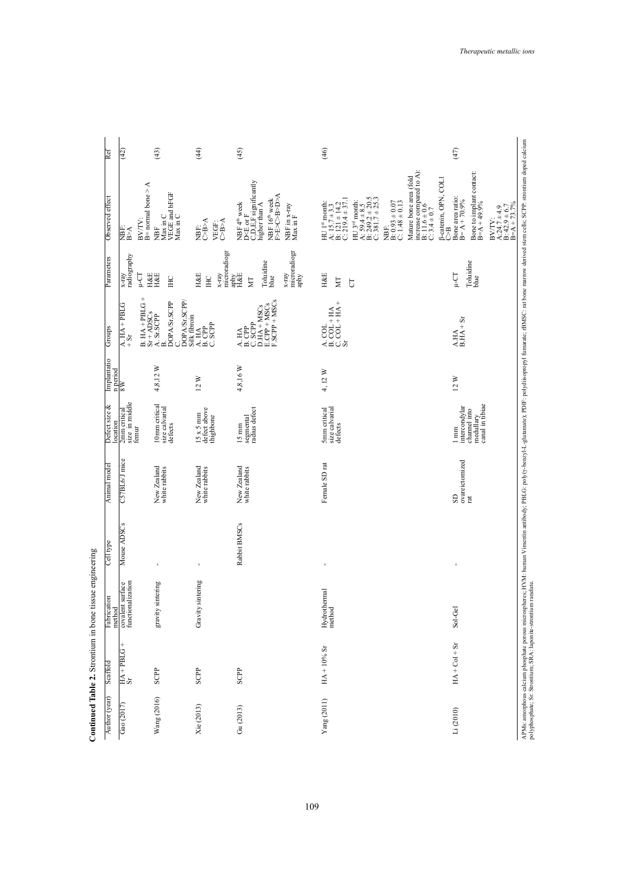|               |                          | Continued Table 2. Strontium in bone tissue engineering |                |                              |                                                                                 |                |                                                                                                                                                                                                                                                                                                                                                                                                                                                                                                                                                         |                                                                              |                                                                                                                                                                                                                                          |      |
|---------------|--------------------------|---------------------------------------------------------|----------------|------------------------------|---------------------------------------------------------------------------------|----------------|---------------------------------------------------------------------------------------------------------------------------------------------------------------------------------------------------------------------------------------------------------------------------------------------------------------------------------------------------------------------------------------------------------------------------------------------------------------------------------------------------------------------------------------------------------|------------------------------------------------------------------------------|------------------------------------------------------------------------------------------------------------------------------------------------------------------------------------------------------------------------------------------|------|
| Author (year) | Scaffold                 | tion<br>Fabricat<br>method                              | Cell type      | Animal model                 | Defect size $\&$<br>ocation                                                     | Implantatio    | Groups                                                                                                                                                                                                                                                                                                                                                                                                                                                                                                                                                  | Parameters                                                                   | Observed effect                                                                                                                                                                                                                          | Ref  |
| Gao (2017)    | $\frac{HA + PBLG +}{Sr}$ | covalent surface<br>functionalization<br>surface        | Mouse ADSCs    | C57BL6/J mice                | 2mm critical<br>size in middle<br>femur                                         | n period<br>8W | $\frac{\text{A. HA} + \text{PBLG}}{+ \text{Sr}}$                                                                                                                                                                                                                                                                                                                                                                                                                                                                                                        | $_{\rm x-ray}^{\rm x-ray}$<br>TJ-u                                           | ⋖<br>$B=$ normal bone $>$ .<br>BV/TV:<br>$\mathbb{B}^{\mathbb{A}}$<br>NBF:                                                                                                                                                               | (42) |
| Wang $(2016)$ | SCPP                     | gravity sintering                                       | J.             | New Zealand<br>white rabbits | 10mm critical<br>size calvarial<br>defects                                      | 4,8,12 W       | $B. HA + PBLG + Sr + AIDSCS$<br>Sr + ADSCs<br>C.<br>DOPA/Sr.SCPP/<br>B.<br>DOPA/Sr.SCPP<br>Silk fibroin                                                                                                                                                                                                                                                                                                                                                                                                                                                 | H&E<br>H&E<br>E                                                              | Max in C<br>VEGE and bFGF<br>Max in C<br>È                                                                                                                                                                                               | (43) |
| Xie (2013)    | SCPP                     | Gravity sintering                                       | $\blacksquare$ | New Zealand<br>white rabbits | $15 \times 5 \text{ mm}$<br>defect above<br>thighbone                           | 12W            | $\begin{array}{c}\n\overline{AB} \\ \overline{BD} \\ \overline{CD} \\ \overline{CD} \\ \overline{CD} \\ \overline{CD} \\ \overline{CD} \\ \overline{CD} \\ \overline{CD} \\ \overline{CD} \\ \overline{CD} \\ \overline{CD} \\ \overline{CD} \\ \overline{CD} \\ \overline{CD} \\ \overline{CD} \\ \overline{CD} \\ \overline{CD} \\ \overline{CD} \\ \overline{CD} \\ \overline{CD} \\ \overline{CD} \\ \overline{CD} \\ \overline{CD} \\ \overline{CD} \\ \overline{CD} \\ \overline{CD} \\ \overline{CD} \\ \overline{CD} \\ \overline{CD} \\ \over$ | microradiogr<br><b>H&amp;E</b><br>$x$ -ray<br>$\Xi$                          | <b>NBE:</b><br>CBA<br>VEGF:<br>C>B>A                                                                                                                                                                                                     | (44) |
| Gu (2013)     | SCPP                     |                                                         | Rabbit BMSCs   | New Zealand<br>white rabbits | segmental<br>radius defect<br>$15 \text{ mm}$                                   | 4,8,16 W       | $\begin{array}{ll} \text{A. HA} \\ \text{B. CPP} \\ \text{C. SCPP} \\ \text{D.HA + MSCs} \\ \text{E. CPP + MSCs} \\ \text{F. SCPP + MSCs} \end{array}$                                                                                                                                                                                                                                                                                                                                                                                                  | microradiogr<br>aphy<br>Toluidine<br>$\max_{H\&E}$<br>$x$ -ray<br>blue<br>ΣĹ | NBF 4 <sup>th</sup> week<br>D <e f<br="" or="">C,D,E,F significantly<br/><b>A<g<b>C&gt;B&gt;D&gt;</g<b></b><br/>NBF 16<sup>th</sup> week<br/>higher than A<br/>NBF in <math>x</math>-ray Max in F</e>                                    | (45) |
| Yang (2011)   | $HA + 10%$ Sr            | Hydrothermal<br>method                                  | $\blacksquare$ | Female SD <sub>rat</sub>     | size calvarial<br>5mm critical<br>defects                                       | 4, 12 W        | $\begin{array}{l} \text{A. COL} \\ \text{B. COL} + \text{HA} \\ \text{C. COL} + \text{HA} + \\ \text{Sr} \end{array}$                                                                                                                                                                                                                                                                                                                                                                                                                                   | H&E<br>ΣÑ<br>$\overline{C}$                                                  | A: $59.4 \pm 8.5$<br>B: $249.2 \pm 20.5$<br>C: 381.7 $\pm 25.3$<br>A: $15.7 \pm 3.3$<br>B: $121 \pm 14.2$<br>C: $219.4 \pm 37.1$<br>$HU$ 3 <sup>rd</sup> month:<br>NBF:<br>B: 0.93 ± 0.07<br>C: 1.48 ± 0.13<br>HU 1 <sup>st</sup> month: | (46) |
| Li(2010)      | $HA + Col + Sr$          | Sol-Gel                                                 |                | ovareictomized<br>SD<br>rat  | medullary<br>canal in tibiae<br>intercondylar<br>channel into<br>$1 \text{ mm}$ | 12W            | $\begin{array}{c}\n\text{A.HA} \\ \text{B.HA} + \text{Sr}\n\end{array}$                                                                                                                                                                                                                                                                                                                                                                                                                                                                                 | Toluidine<br>blue<br>$\mathop{\text{I}\text{--}C}\nolimits$                  | increase compared to A):<br>B: 11.6 ± 0.6<br>C: 3.4 ± 0.7<br>Bone to implant contact:<br>B=A + 49.9%<br>Mature bone area (fold<br>B-catenin, OPN, COLI<br>Bone area ratio:<br>B= $A + 70.9%$<br>ී                                        | (47) |
|               |                          |                                                         |                |                              |                                                                                 |                |                                                                                                                                                                                                                                                                                                                                                                                                                                                                                                                                                         |                                                                              | BV/TV:<br>A:24.7 ± 4.9<br>B: 42.9 ± 6.7<br>B=A + 73.7%                                                                                                                                                                                   |      |
|               |                          |                                                         |                |                              |                                                                                 |                |                                                                                                                                                                                                                                                                                                                                                                                                                                                                                                                                                         |                                                                              | APMs: amorphous calcium phosphate porous microspheres; HVM: human Vimentin antibody; PBLG: poly(y-benzyl-L-glutanate); PDIF: polydlisopropyl fumarate; rBMSC: rat bone marrow derived stem cells; SCPP: strontium doped calciu           |      |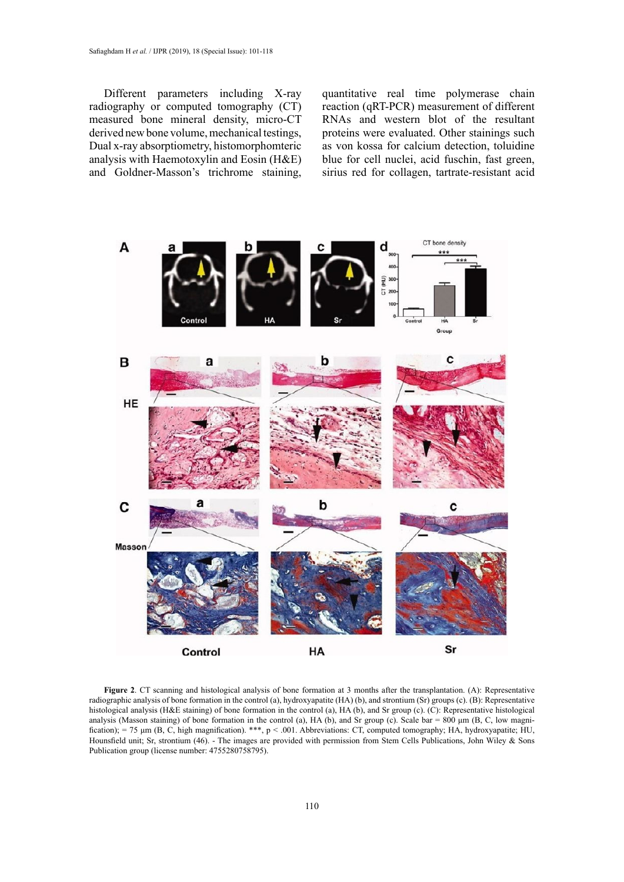Different parameters including X-ray radiography or computed tomography (CT) measured bone mineral density, micro-CT derived new bone volume, mechanical testings, Dual x-ray absorptiometry, histomorphomteric analysis with Haemotoxylin and Eosin (H&E) and Goldner-Masson's trichrome staining,

quantitative real time polymerase chain reaction (qRT-PCR) measurement of different RNAs and western blot of the resultant proteins were evaluated. Other stainings such as von kossa for calcium detection, toluidine blue for cell nuclei, acid fuschin, fast green, sirius red for collagen, tartrate-resistant acid



radiographic analysis of bone formation in the control (a), hydroxyapatite (HA) (b), and strontium (Sr) groups (c). (B): Representative radiographic analysis of bone formation in the control (a), hydroxyapatite (HA) (b), a analysis (Masson staining) of bone formation in the control (a), HA (b), and SI group (c). CC). Representative instolutional analysis (Masson staining) of bone formation in the control (a), HA (b), and SI group (c). Scale fication); = 75 µm (B, C, high magnification). \*\*\*, p < .001. Abbreviations: CT, computed tomography; HA, hydroxyapatite; HU,<br>Houngfield unit: Sr. strontium (46). The images are provided with permission from Stem Cells Pu Publication group (license number: 4755280758795). **Figure 2**. CT scanning and histological analysis of bone formation at 3 months after the transplantation. (A): Representative histological analysis (H&E staining) of bone formation in the control (a), HA (b), and Sr group (c). (C): Representative histological Hounsfield unit; Sr, strontium (46). - The images are provided with permission from Stem Cells Publications, John Wiley & Sons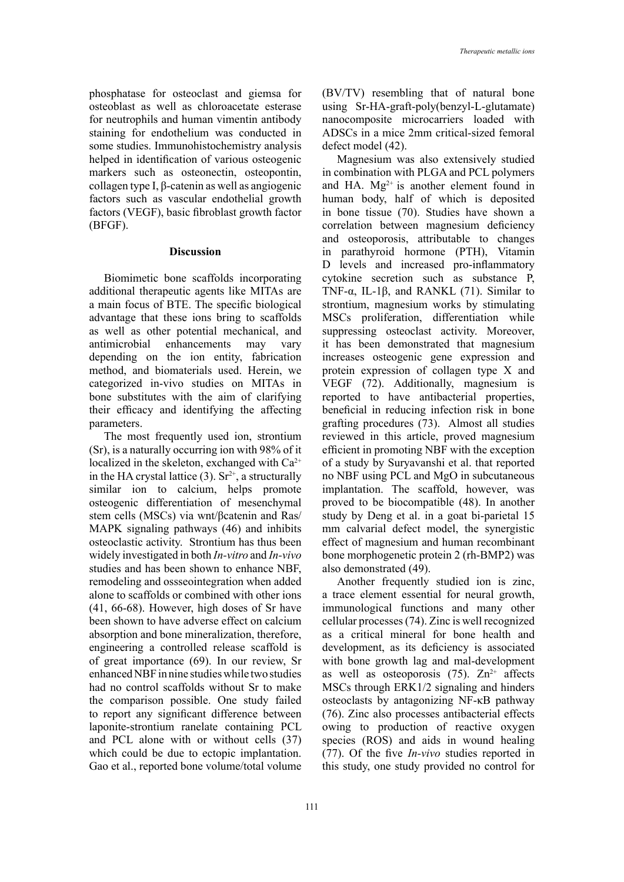phosphatase for osteoclast and giemsa for osteoblast as well as chloroacetate esterase for neutrophils and human vimentin antibody staining for endothelium was conducted in some studies. Immunohistochemistry analysis helped in identification of various osteogenic markers such as osteonectin, osteopontin, collagen type I, β-catenin as well as angiogenic factors such as vascular endothelial growth factors (VEGF), basic fibroblast growth factor (BFGF).

## **Discussion**

Biomimetic bone scaffolds incorporating additional therapeutic agents like MITAs are a main focus of BTE. The specific biological advantage that these ions bring to scaffolds as well as other potential mechanical, and antimicrobial enhancements may vary depending on the ion entity, fabrication method, and biomaterials used. Herein, we categorized in-vivo studies on MITAs in bone substitutes with the aim of clarifying their efficacy and identifying the affecting parameters.

The most frequently used ion, strontium (Sr), is a naturally occurring ion with 98% of it localized in the skeleton, exchanged with  $Ca^{2+}$ in the HA crystal lattice  $(3)$ . Sr<sup>2+</sup>, a structurally similar ion to calcium, helps promote osteogenic differentiation of mesenchymal stem cells (MSCs) via wnt/βcatenin and Ras/ MAPK signaling pathways (46) and inhibits osteoclastic activity. Strontium has thus been widely investigated in both *In-vitro* and *In-vivo* studies and has been shown to enhance NBF, remodeling and ossseointegration when added alone to scaffolds or combined with other ions (41, 66-68). However, high doses of Sr have been shown to have adverse effect on calcium absorption and bone mineralization, therefore, engineering a controlled release scaffold is of great importance (69). In our review, Sr enhanced NBF in nine studies while two studies had no control scaffolds without Sr to make the comparison possible. One study failed to report any significant difference between laponite-strontium ranelate containing PCL and PCL alone with or without cells (37) which could be due to ectopic implantation. Gao et al., reported bone volume/total volume

(BV/TV) resembling that of natural bone using Sr-HA-graft-poly(benzyl-L-glutamate) nanocomposite microcarriers loaded with ADSCs in a mice 2mm critical-sized femoral defect model (42).

Magnesium was also extensively studied in combination with PLGA and PCL polymers and HA.  $Mg^{2+}$  is another element found in human body, half of which is deposited in bone tissue (70). Studies have shown a correlation between magnesium deficiency and osteoporosis, attributable to changes in parathyroid hormone (PTH), Vitamin D levels and increased pro-inflammatory cytokine secretion such as substance P, TNF- $\alpha$ , IL-1 $\beta$ , and RANKL (71). Similar to strontium, magnesium works by stimulating MSCs proliferation, differentiation while suppressing osteoclast activity. Moreover, it has been demonstrated that magnesium increases osteogenic gene expression and protein expression of collagen type X and VEGF (72). Additionally, magnesium is reported to have antibacterial properties, beneficial in reducing infection risk in bone grafting procedures (73). Almost all studies reviewed in this article, proved magnesium efficient in promoting NBF with the exception of a study by Suryavanshi et al. that reported no NBF using PCL and MgO in subcutaneous implantation. The scaffold, however, was proved to be biocompatible (48). In another study by Deng et al. in a goat bi-parietal 15 mm calvarial defect model, the synergistic effect of magnesium and human recombinant bone morphogenetic protein 2 (rh-BMP2) was also demonstrated (49).

Another frequently studied ion is zinc, a trace element essential for neural growth, immunological functions and many other cellular processes (74). Zinc is well recognized as a critical mineral for bone health and development, as its deficiency is associated with bone growth lag and mal-development as well as osteoporosis  $(75)$ .  $Zn^{2+}$  affects MSCs through ERK1/2 signaling and hinders osteoclasts by antagonizing NF-κB pathway (76). Zinc also processes antibacterial effects owing to production of reactive oxygen species (ROS) and aids in wound healing (77). Of the five *In-vivo* studies reported in this study, one study provided no control for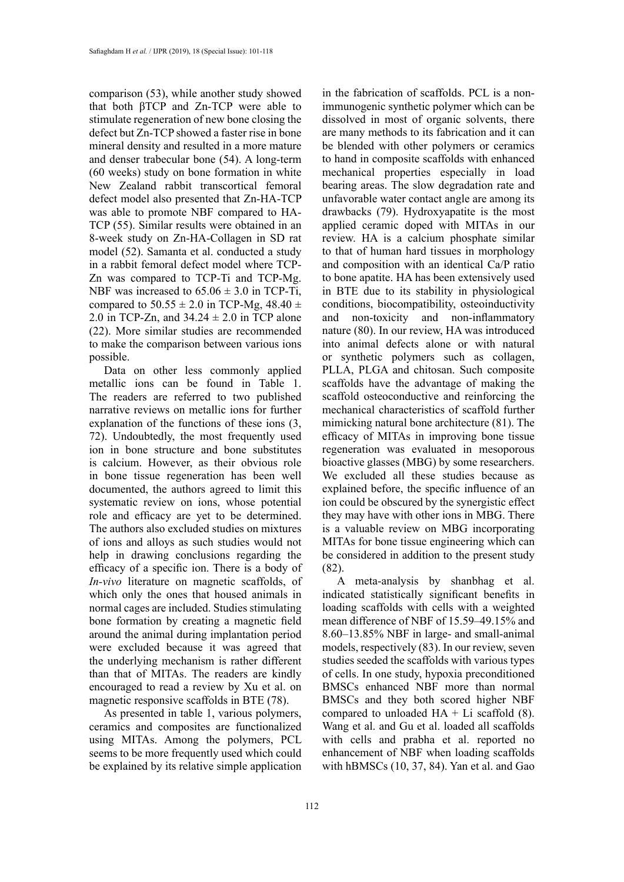comparison (53), while another study showed that both βTCP and Zn-TCP were able to stimulate regeneration of new bone closing the defect but Zn-TCP showed a faster rise in bone mineral density and resulted in a more mature and denser trabecular bone (54). A long-term (60 weeks) study on bone formation in white New Zealand rabbit transcortical femoral defect model also presented that Zn-HA-TCP was able to promote NBF compared to HA-TCP (55). Similar results were obtained in an 8-week study on Zn-HA-Collagen in SD rat model (52). Samanta et al. conducted a study in a rabbit femoral defect model where TCP-Zn was compared to TCP-Ti and TCP-Mg. NBF was increased to  $65.06 \pm 3.0$  in TCP-Ti, compared to  $50.55 \pm 2.0$  in TCP-Mg, 48.40  $\pm$ 2.0 in TCP-Zn, and  $34.24 \pm 2.0$  in TCP alone (22). More similar studies are recommended to make the comparison between various ions possible.

Data on other less commonly applied metallic ions can be found in Table 1. The readers are referred to two published narrative reviews on metallic ions for further explanation of the functions of these ions (3, 72). Undoubtedly, the most frequently used ion in bone structure and bone substitutes is calcium. However, as their obvious role in bone tissue regeneration has been well documented, the authors agreed to limit this systematic review on ions, whose potential role and efficacy are yet to be determined. The authors also excluded studies on mixtures of ions and alloys as such studies would not help in drawing conclusions regarding the efficacy of a specific ion. There is a body of *In-vivo* literature on magnetic scaffolds, of which only the ones that housed animals in normal cages are included. Studies stimulating bone formation by creating a magnetic field around the animal during implantation period were excluded because it was agreed that the underlying mechanism is rather different than that of MITAs. The readers are kindly encouraged to read a review by Xu et al. on magnetic responsive scaffolds in BTE (78).

As presented in table 1, various polymers, ceramics and composites are functionalized using MITAs. Among the polymers, PCL seems to be more frequently used which could be explained by its relative simple application

in the fabrication of scaffolds. PCL is a nonimmunogenic synthetic polymer which can be dissolved in most of organic solvents, there are many methods to its fabrication and it can be blended with other polymers or ceramics to hand in composite scaffolds with enhanced mechanical properties especially in load bearing areas. The slow degradation rate and unfavorable water contact angle are among its drawbacks (79). Hydroxyapatite is the most applied ceramic doped with MITAs in our review. HA is a calcium phosphate similar to that of human hard tissues in morphology and composition with an identical Ca/P ratio to bone apatite. HA has been extensively used in BTE due to its stability in physiological conditions, biocompatibility, osteoinductivity and non-toxicity and non-inflammatory nature (80). In our review, HA was introduced into animal defects alone or with natural or synthetic polymers such as collagen, PLLA, PLGA and chitosan. Such composite scaffolds have the advantage of making the scaffold osteoconductive and reinforcing the mechanical characteristics of scaffold further mimicking natural bone architecture (81). The efficacy of MITAs in improving bone tissue regeneration was evaluated in mesoporous bioactive glasses (MBG) by some researchers. We excluded all these studies because as explained before, the specific influence of an ion could be obscured by the synergistic effect they may have with other ions in MBG. There is a valuable review on MBG incorporating MITAs for bone tissue engineering which can be considered in addition to the present study (82).

A meta-analysis by shanbhag et al. indicated statistically significant benefits in loading scaffolds with cells with a weighted mean difference of NBF of 15.59–49.15% and 8.60–13.85% NBF in large- and small-animal models, respectively (83). In our review, seven studies seeded the scaffolds with various types of cells. In one study, hypoxia preconditioned BMSCs enhanced NBF more than normal BMSCs and they both scored higher NBF compared to unloaded  $HA + Li$  scaffold (8). Wang et al. and Gu et al. loaded all scaffolds with cells and prabha et al. reported no enhancement of NBF when loading scaffolds with hBMSCs (10, 37, 84). Yan et al. and Gao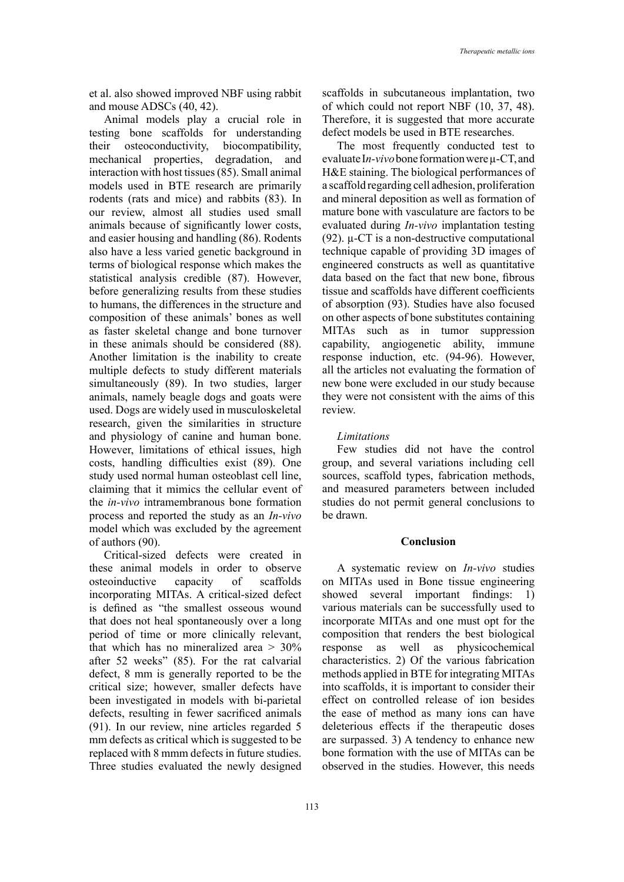et al. also showed improved NBF using rabbit and mouse ADSCs (40, 42).

Animal models play a crucial role in testing bone scaffolds for understanding their osteoconductivity, biocompatibility, mechanical properties, degradation, and interaction with host tissues (85). Small animal models used in BTE research are primarily rodents (rats and mice) and rabbits (83). In our review, almost all studies used small animals because of significantly lower costs, and easier housing and handling (86). Rodents also have a less varied genetic background in terms of biological response which makes the statistical analysis credible (87). However, before generalizing results from these studies to humans, the differences in the structure and composition of these animals' bones as well as faster skeletal change and bone turnover in these animals should be considered (88). Another limitation is the inability to create multiple defects to study different materials simultaneously (89). In two studies, larger animals, namely beagle dogs and goats were used. Dogs are widely used in musculoskeletal research, given the similarities in structure and physiology of canine and human bone. However, limitations of ethical issues, high costs, handling difficulties exist (89). One study used normal human osteoblast cell line, claiming that it mimics the cellular event of the *in-vivo* intramembranous bone formation process and reported the study as an *In-vivo* model which was excluded by the agreement of authors (90).

Critical-sized defects were created in these animal models in order to observe osteoinductive capacity of scaffolds incorporating MITAs. A critical-sized defect is defined as "the smallest osseous wound that does not heal spontaneously over a long period of time or more clinically relevant, that which has no mineralized area  $> 30\%$ after 52 weeks" (85). For the rat calvarial defect, 8 mm is generally reported to be the critical size; however, smaller defects have been investigated in models with bi-parietal defects, resulting in fewer sacrificed animals (91). In our review, nine articles regarded 5 mm defects as critical which is suggested to be replaced with 8 mmm defects in future studies. Three studies evaluated the newly designed

scaffolds in subcutaneous implantation, two of which could not report NBF (10, 37, 48). Therefore, it is suggested that more accurate defect models be used in BTE researches.

The most frequently conducted test to evaluate I*n-vivo* bone formation were µ-CT, and H&E staining. The biological performances of a scaffold regarding cell adhesion, proliferation and mineral deposition as well as formation of mature bone with vasculature are factors to be evaluated during *In-vivo* implantation testing (92). µ-CT is a non-destructive computational technique capable of providing 3D images of engineered constructs as well as quantitative data based on the fact that new bone, fibrous tissue and scaffolds have different coefficients of absorption (93). Studies have also focused on other aspects of bone substitutes containing MITAs such as in tumor suppression capability, angiogenetic ability, immune response induction, etc. (94-96). However, all the articles not evaluating the formation of new bone were excluded in our study because they were not consistent with the aims of this review.

### *Limitations*

Few studies did not have the control group, and several variations including cell sources, scaffold types, fabrication methods, and measured parameters between included studies do not permit general conclusions to be drawn.

#### **Conclusion**

A systematic review on *In-vivo* studies on MITAs used in Bone tissue engineering showed several important findings: 1) various materials can be successfully used to incorporate MITAs and one must opt for the composition that renders the best biological response as well as physicochemical characteristics. 2) Of the various fabrication methods applied in BTE for integrating MITAs into scaffolds, it is important to consider their effect on controlled release of ion besides the ease of method as many ions can have deleterious effects if the therapeutic doses are surpassed. 3) A tendency to enhance new bone formation with the use of MITAs can be observed in the studies. However, this needs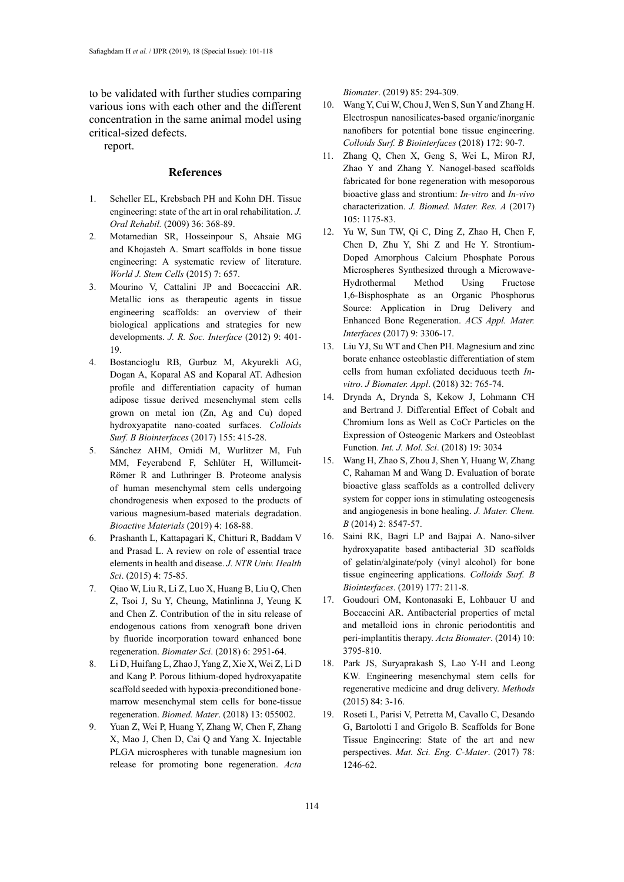to be validated with further studies comparing various ions with each other and the different concentration in the same animal model using critical-sized defects.

report.

#### **References**

- 1. Scheller EL, Krebsbach PH and Kohn DH. Tissue engineering: state of the art in oral rehabilitation. *J. Oral Rehabil.* (2009) 36: 368-89.
- 2. Motamedian SR, Hosseinpour S, Ahsaie MG and Khojasteh A. Smart scaffolds in bone tissue engineering: A systematic review of literature. *World J. Stem Cells* (2015) 7: 657.
- 3. Mourino V, Cattalini JP and Boccaccini AR. Metallic ions as therapeutic agents in tissue engineering scaffolds: an overview of their biological applications and strategies for new developments. *J. R. Soc. Interface* (2012) 9: 401- 19.
- 4. Bostancioglu RB, Gurbuz M, Akyurekli AG, Dogan A, Koparal AS and Koparal AT. Adhesion profile and differentiation capacity of human adipose tissue derived mesenchymal stem cells grown on metal ion (Zn, Ag and Cu) doped hydroxyapatite nano-coated surfaces. *Colloids Surf. B Biointerfaces* (2017) 155: 415-28.
- 5. Sánchez AHM, Omidi M, Wurlitzer M, Fuh MM, Feyerabend F, Schlüter H, Willumeit-Römer R and Luthringer B. Proteome analysis of human mesenchymal stem cells undergoing chondrogenesis when exposed to the products of various magnesium-based materials degradation. *Bioactive Materials* (2019) 4: 168-88.
- 6. Prashanth L, Kattapagari K, Chitturi R, Baddam V and Prasad L. A review on role of essential trace elements in health and disease. *J. NTR Univ. Health Sci*. (2015) 4: 75-85.
- 7. Qiao W, Liu R, Li Z, Luo X, Huang B, Liu Q, Chen Z, Tsoi J, Su Y, Cheung, Matinlinna J, Yeung K and Chen Z. Contribution of the in situ release of endogenous cations from xenograft bone driven by fluoride incorporation toward enhanced bone regeneration. *Biomater Sci*. (2018) 6: 2951-64.
- 8. Li D, Huifang L, Zhao J, Yang Z, Xie X, Wei Z, Li D and Kang P. Porous lithium-doped hydroxyapatite scaffold seeded with hypoxia-preconditioned bonemarrow mesenchymal stem cells for bone-tissue regeneration. *Biomed. Mater*. (2018) 13: 055002.
- 9. Yuan Z, Wei P, Huang Y, Zhang W, Chen F, Zhang X, Mao J, Chen D, Cai Q and Yang X. Injectable PLGA microspheres with tunable magnesium ion release for promoting bone regeneration. *Acta*

*Biomater*. (2019) 85: 294-309.

- 10. Wang Y, Cui W, Chou J, Wen S, Sun Y and Zhang H. Electrospun nanosilicates-based organic/inorganic nanofibers for potential bone tissue engineering. *Colloids Surf. B Biointerfaces* (2018) 172: 90-7.
- 11. Zhang Q, Chen X, Geng S, Wei L, Miron RJ, Zhao Y and Zhang Y. Nanogel-based scaffolds fabricated for bone regeneration with mesoporous bioactive glass and strontium: *In-vitro* and *In-vivo* characterization. *J. Biomed. Mater. Res. A* (2017) 105: 1175-83.
- 12. Yu W, Sun TW, Qi C, Ding Z, Zhao H, Chen F, Chen D, Zhu Y, Shi Z and He Y. Strontium-Doped Amorphous Calcium Phosphate Porous Microspheres Synthesized through a Microwave-Hydrothermal Method Using Fructose 1,6-Bisphosphate as an Organic Phosphorus Source: Application in Drug Delivery and Enhanced Bone Regeneration. *ACS Appl. Mater. Interfaces* (2017) 9: 3306-17.
- 13. Liu YJ, Su WT and Chen PH. Magnesium and zinc borate enhance osteoblastic differentiation of stem cells from human exfoliated deciduous teeth *Invitro*. *J Biomater. Appl*. (2018) 32: 765-74.
- 14. Drynda A, Drynda S, Kekow J, Lohmann CH and Bertrand J. Differential Effect of Cobalt and Chromium Ions as Well as CoCr Particles on the Expression of Osteogenic Markers and Osteoblast Function. *Int. J. Mol. Sci*. (2018) 19: 3034
- 15. Wang H, Zhao S, Zhou J, Shen Y, Huang W, Zhang C, Rahaman M and Wang D. Evaluation of borate bioactive glass scaffolds as a controlled delivery system for copper ions in stimulating osteogenesis and angiogenesis in bone healing. *J. Mater. Chem. B* (2014) 2: 8547-57.
- 16. Saini RK, Bagri LP and Bajpai A. Nano-silver hydroxyapatite based antibacterial 3D scaffolds of gelatin/alginate/poly (vinyl alcohol) for bone tissue engineering applications. *Colloids Surf. B Biointerfaces*. (2019) 177: 211-8.
- 17. Goudouri OM, Kontonasaki E, Lohbauer U and Boccaccini AR. Antibacterial properties of metal and metalloid ions in chronic periodontitis and peri-implantitis therapy. *Acta Biomater*. (2014) 10: 3795-810.
- 18. Park JS, Suryaprakash S, Lao Y-H and Leong KW. Engineering mesenchymal stem cells for regenerative medicine and drug delivery. *Methods* (2015) 84: 3-16.
- 19. Roseti L, Parisi V, Petretta M, Cavallo C, Desando G, Bartolotti I and Grigolo B. Scaffolds for Bone Tissue Engineering: State of the art and new perspectives. *Mat. Sci. Eng. C-Mater*. (2017) 78: 1246-62.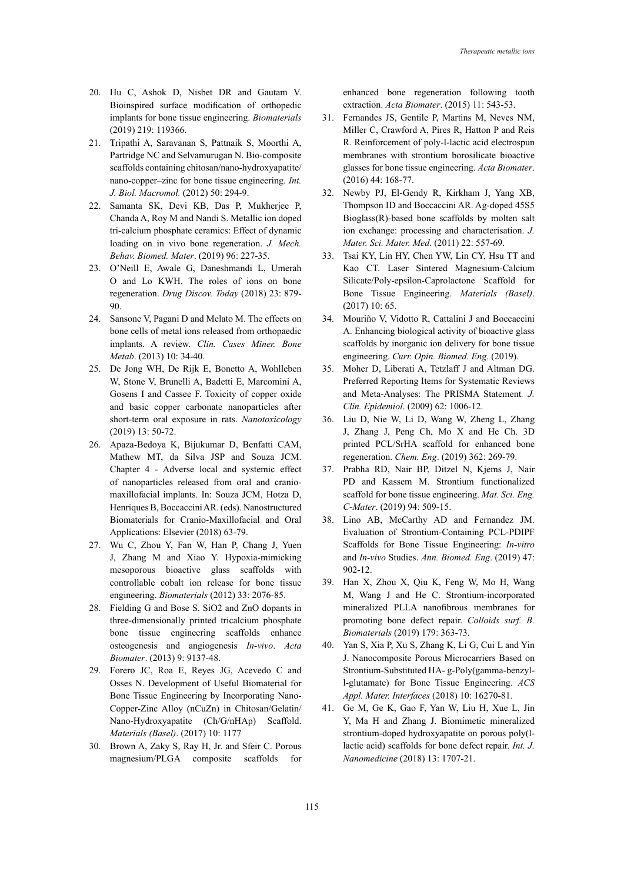- 20. Hu C, Ashok D, Nisbet DR and Gautam V. Bioinspired surface modification of orthopedic implants for bone tissue engineering. *Biomaterials* (2019) 219: 119366.
- 21. Tripathi A, Saravanan S, Pattnaik S, Moorthi A, Partridge NC and Selvamurugan N. Bio-composite scaffolds containing chitosan/nano-hydroxyapatite/ nano-copper–zinc for bone tissue engineering. *Int. J. Biol. Macromol.* (2012) 50: 294-9.
- 22. Samanta SK, Devi KB, Das P, Mukherjee P, Chanda A, Roy M and Nandi S. Metallic ion doped tri-calcium phosphate ceramics: Effect of dynamic loading on in vivo bone regeneration. *J. Mech. Behav. Biomed. Mater*. (2019) 96: 227-35.
- 23. O'Neill E, Awale G, Daneshmandi L, Umerah O and Lo KWH. The roles of ions on bone regeneration. *Drug Discov. Today* (2018) 23: 879- 90.
- 24. Sansone V, Pagani D and Melato M. The effects on bone cells of metal ions released from orthopaedic implants. A review. *Clin. Cases Miner. Bone Metab*. (2013) 10: 34-40.
- 25. De Jong WH, De Rijk E, Bonetto A, Wohlleben W, Stone V, Brunelli A, Badetti E, Marcomini A, Gosens I and Cassee F. Toxicity of copper oxide and basic copper carbonate nanoparticles after short-term oral exposure in rats. *Nanotoxicology* (2019) 13: 50-72.
- 26. Apaza-Bedoya K, Bijukumar D, Benfatti CAM, Mathew MT, da Silva JSP and Souza JCM. Chapter 4 - Adverse local and systemic effect of nanoparticles released from oral and craniomaxillofacial implants. In: Souza JCM, Hotza D, Henriques B, Boccaccini AR. (eds). Nanostructured Biomaterials for Cranio-Maxillofacial and Oral Applications: Elsevier (2018) 63-79.
- 27. Wu C, Zhou Y, Fan W, Han P, Chang J, Yuen J, Zhang M and Xiao Y. Hypoxia-mimicking mesoporous bioactive glass scaffolds with controllable cobalt ion release for bone tissue engineering. *Biomaterials* (2012) 33: 2076-85.
- 28. Fielding G and Bose S. SiO2 and ZnO dopants in three-dimensionally printed tricalcium phosphate bone tissue engineering scaffolds enhance osteogenesis and angiogenesis *In-vivo*. *Acta Biomater*. (2013) 9: 9137-48.
- 29. Forero JC, Roa E, Reyes JG, Acevedo C and Osses N. Development of Useful Biomaterial for Bone Tissue Engineering by Incorporating Nano-Copper-Zinc Alloy (nCuZn) in Chitosan/Gelatin/ Nano-Hydroxyapatite (Ch/G/nHAp) Scaffold. *Materials (Basel)*. (2017) 10: 1177
- 30. Brown A, Zaky S, Ray H, Jr. and Sfeir C. Porous magnesium/PLGA composite scaffolds for

enhanced bone regeneration following tooth extraction. *Acta Biomater*. (2015) 11: 543-53.

- 31. Fernandes JS, Gentile P, Martins M, Neves NM, Miller C, Crawford A, Pires R, Hatton P and Reis R. Reinforcement of poly-l-lactic acid electrospun membranes with strontium borosilicate bioactive glasses for bone tissue engineering. *Acta Biomater*. (2016) 44: 168-77.
- 32. Newby PJ, El-Gendy R, Kirkham J, Yang XB, Thompson ID and Boccaccini AR. Ag-doped 45S5 Bioglass(R)-based bone scaffolds by molten salt ion exchange: processing and characterisation. *J. Mater. Sci. Mater. Med*. (2011) 22: 557-69.
- 33. Tsai KY, Lin HY, Chen YW, Lin CY, Hsu TT and Kao CT. Laser Sintered Magnesium-Calcium Silicate/Poly-epsilon-Caprolactone Scaffold for Bone Tissue Engineering. *Materials (Basel)*. (2017) 10: 65.
- 34. Mouriño V, Vidotto R, Cattalini J and Boccaccini A. Enhancing biological activity of bioactive glass scaffolds by inorganic ion delivery for bone tissue engineering. *Curr. Opin. Biomed. Eng*. (2019).
- 35. Moher D, Liberati A, Tetzlaff J and Altman DG. Preferred Reporting Items for Systematic Reviews and Meta-Analyses: The PRISMA Statement*. J. Clin. Epidemiol*. (2009) 62: 1006-12.
- 36. Liu D, Nie W, Li D, Wang W, Zheng L, Zhang J, Zhang J, Peng Ch, Mo X and He Ch. 3D printed PCL/SrHA scaffold for enhanced bone regeneration. *Chem. Eng*. (2019) 362: 269-79.
- 37. Prabha RD, Nair BP, Ditzel N, Kjems J, Nair PD and Kassem M. Strontium functionalized scaffold for bone tissue engineering. *Mat. Sci. Eng. C-Mater*. (2019) 94: 509-15.
- 38. Lino AB, McCarthy AD and Fernandez JM. Evaluation of Strontium-Containing PCL-PDIPF Scaffolds for Bone Tissue Engineering: *In-vitro* and *In-vivo* Studies. *Ann. Biomed. Eng*. (2019) 47: 902-12.
- 39. Han X, Zhou X, Qiu K, Feng W, Mo H, Wang M, Wang J and He C. Strontium-incorporated mineralized PLLA nanofibrous membranes for promoting bone defect repair. *Colloids surf. B. Biomaterials* (2019) 179: 363-73.
- 40. Yan S, Xia P, Xu S, Zhang K, Li G, Cui L and Yin J. Nanocomposite Porous Microcarriers Based on Strontium-Substituted HA- g-Poly(gamma-benzyll-glutamate) for Bone Tissue Engineering. *ACS Appl. Mater. Interfaces* (2018) 10: 16270-81.
- 41. Ge M, Ge K, Gao F, Yan W, Liu H, Xue L, Jin Y, Ma H and Zhang J. Biomimetic mineralized strontium-doped hydroxyapatite on porous poly(llactic acid) scaffolds for bone defect repair. *Int. J. Nanomedicine* (2018) 13: 1707-21.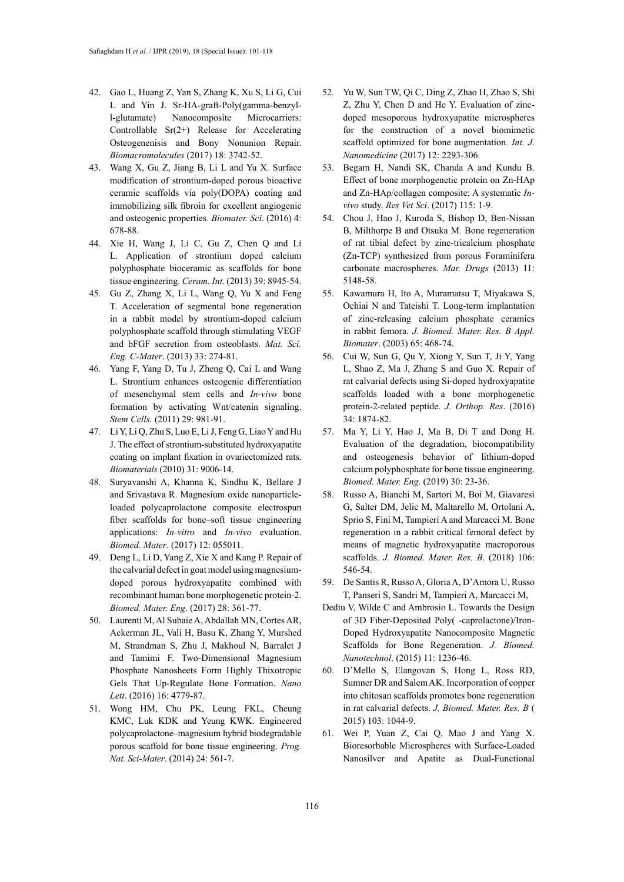- 42. Gao L, Huang Z, Yan S, Zhang K, Xu S, Li G, Cui L and Yin J. Sr-HA-graft-Poly(gamma-benzyll-glutamate) Nanocomposite Microcarriers: Controllable Sr(2+) Release for Accelerating Osteogenenisis and Bony Nonunion Repair. *Biomacromolecules* (2017) 18: 3742-52.
- 43. Wang X, Gu Z, Jiang B, Li L and Yu X. Surface modification of strontium-doped porous bioactive ceramic scaffolds via poly(DOPA) coating and immobilizing silk fibroin for excellent angiogenic and osteogenic properties. *Biomater. Sci*. (2016) 4: 678-88.
- 44. Xie H, Wang J, Li C, Gu Z, Chen Q and Li L. Application of strontium doped calcium polyphosphate bioceramic as scaffolds for bone tissue engineering. *Ceram. Int*. (2013) 39: 8945-54.
- 45. Gu Z, Zhang X, Li L, Wang Q, Yu X and Feng T. Acceleration of segmental bone regeneration in a rabbit model by strontium-doped calcium polyphosphate scaffold through stimulating VEGF and bFGF secretion from osteoblasts. *Mat. Sci. Eng. C-Mater*. (2013) 33: 274-81.
- 46. Yang F, Yang D, Tu J, Zheng Q, Cai L and Wang L. Strontium enhances osteogenic differentiation of mesenchymal stem cells and *In-vivo* bone formation by activating Wnt/catenin signaling. *Stem Cells.* (2011) 29: 981-91.
- 47. Li Y, Li Q, Zhu S, Luo E, Li J, Feng G, Liao Y and Hu J. The effect of strontium-substituted hydroxyapatite coating on implant fixation in ovariectomized rats. *Biomaterials* (2010) 31: 9006-14.
- 48. Suryavanshi A, Khanna K, Sindhu K, Bellare J and Srivastava R. Magnesium oxide nanoparticleloaded polycaprolactone composite electrospun fiber scaffolds for bone–soft tissue engineering applications: *In-vitro* and *In-vivo* evaluation. *Biomed. Mater*. (2017) 12: 055011.
- 49. Deng L, Li D, Yang Z, Xie X and Kang P. Repair of the calvarial defect in goat model using magnesiumdoped porous hydroxyapatite combined with recombinant human bone morphogenetic protein-2. *Biomed. Mater. Eng*. (2017) 28: 361-77.
- 50. Laurenti M, Al Subaie A, Abdallah MN, Cortes AR, Ackerman JL, Vali H, Basu K, Zhang Y, Murshed M, Strandman S, Zhu J, Makhoul N, Barralet J and Tamimi F. Two-Dimensional Magnesium Phosphate Nanosheets Form Highly Thixotropic Gels That Up-Regulate Bone Formation. *Nano Lett*. (2016) 16: 4779-87.
- 51. Wong HM, Chu PK, Leung FKL, Cheung KMC, Luk KDK and Yeung KWK. Engineered polycaprolactone–magnesium hybrid biodegradable porous scaffold for bone tissue engineering. *Prog. Nat. Sci-Mater*. (2014) 24: 561-7.
- 52. Yu W, Sun TW, Qi C, Ding Z, Zhao H, Zhao S, Shi Z, Zhu Y, Chen D and He Y. Evaluation of zincdoped mesoporous hydroxyapatite microspheres for the construction of a novel biomimetic scaffold optimized for bone augmentation. *Int. J. Nanomedicine* (2017) 12: 2293-306.
- 53. Begam H, Nandi SK, Chanda A and Kundu B. Effect of bone morphogenetic protein on Zn-HAp and Zn-HAp/collagen composite: A systematic *Invivo* study. *Res Vet Sci*. (2017) 115: 1-9.
- 54. Chou J, Hao J, Kuroda S, Bishop D, Ben-Nissan B, Milthorpe B and Otsuka M. Bone regeneration of rat tibial defect by zinc-tricalcium phosphate (Zn-TCP) synthesized from porous Foraminifera carbonate macrospheres. *Mar. Drugs* (2013) 11: 5148-58.
- 55. Kawamura H, Ito A, Muramatsu T, Miyakawa S, Ochiai N and Tateishi T. Long-term implantation of zinc-releasing calcium phosphate ceramics in rabbit femora. *J. Biomed. Mater. Res. B Appl. Biomater*. (2003) 65: 468-74.
- 56. Cui W, Sun G, Qu Y, Xiong Y, Sun T, Ji Y, Yang L, Shao Z, Ma J, Zhang S and Guo X. Repair of rat calvarial defects using Si-doped hydroxyapatite scaffolds loaded with a bone morphogenetic protein-2-related peptide. *J. Orthop. Res*. (2016) 34: 1874-82.
- 57. Ma Y, Li Y, Hao J, Ma B, Di T and Dong H. Evaluation of the degradation, biocompatibility and osteogenesis behavior of lithium-doped calcium polyphosphate for bone tissue engineering. *Biomed. Mater. Eng*. (2019) 30: 23-36.
- 58. Russo A, Bianchi M, Sartori M, Boi M, Giavaresi G, Salter DM, Jelic M, Maltarello M, Ortolani A, Sprio S, Fini M, Tampieri A and Marcacci M. Bone regeneration in a rabbit critical femoral defect by means of magnetic hydroxyapatite macroporous scaffolds. *J. Biomed. Mater. Res. B*. (2018) 106: 546-54.
- 59. De Santis R, Russo A, Gloria A, D'Amora U, Russo T, Panseri S, Sandri M, Tampieri A, Marcacci M,
- Dediu V, Wilde C and Ambrosio L. Towards the Design of 3D Fiber-Deposited Poly( -caprolactone)/Iron-Doped Hydroxyapatite Nanocomposite Magnetic Scaffolds for Bone Regeneration. *J. Biomed. Nanotechnol*. (2015) 11: 1236-46.
- 60. D'Mello S, Elangovan S, Hong L, Ross RD, Sumner DR and Salem AK. Incorporation of copper into chitosan scaffolds promotes bone regeneration in rat calvarial defects. *J. Biomed. Mater. Res. B* ( 2015) 103: 1044-9.
- 61. Wei P, Yuan Z, Cai Q, Mao J and Yang X. Bioresorbable Microspheres with Surface-Loaded Nanosilver and Apatite as Dual-Functional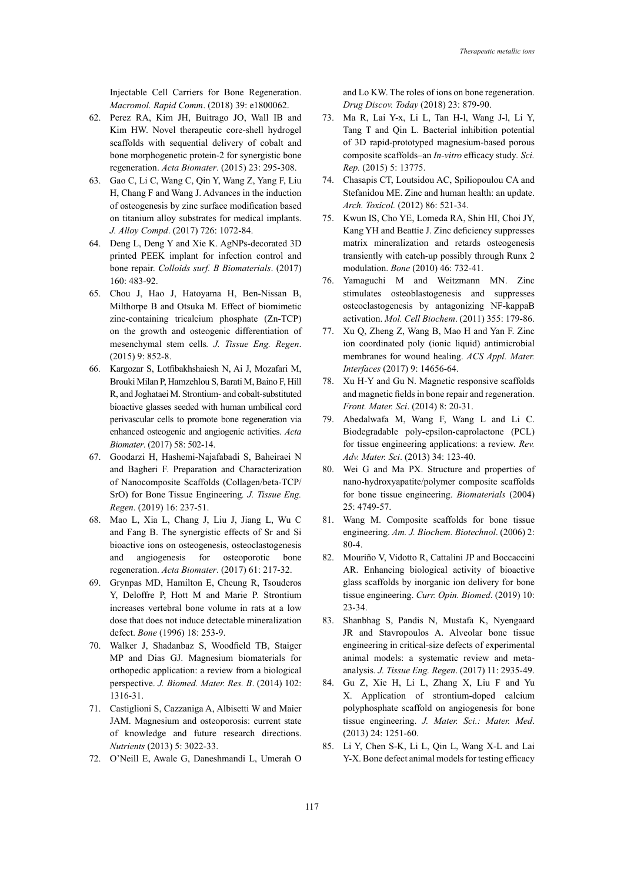Injectable Cell Carriers for Bone Regeneration. *Macromol. Rapid Comm*. (2018) 39: e1800062.

- 62. Perez RA, Kim JH, Buitrago JO, Wall IB and Kim HW. Novel therapeutic core-shell hydrogel scaffolds with sequential delivery of cobalt and bone morphogenetic protein-2 for synergistic bone regeneration. *Acta Biomater*. (2015) 23: 295-308.
- 63. Gao C, Li C, Wang C, Qin Y, Wang Z, Yang F, Liu H, Chang F and Wang J. Advances in the induction of osteogenesis by zinc surface modification based on titanium alloy substrates for medical implants. *J. Alloy Compd*. (2017) 726: 1072-84.
- 64. Deng L, Deng Y and Xie K. AgNPs-decorated 3D printed PEEK implant for infection control and bone repair. *Colloids surf. B Biomaterials*. (2017) 160: 483-92.
- 65. Chou J, Hao J, Hatoyama H, Ben-Nissan B, Milthorpe B and Otsuka M. Effect of biomimetic zinc-containing tricalcium phosphate (Zn-TCP) on the growth and osteogenic differentiation of mesenchymal stem cells*. J. Tissue Eng. Regen*. (2015) 9: 852-8.
- 66. Kargozar S, Lotfibakhshaiesh N, Ai J, Mozafari M, Brouki Milan P, Hamzehlou S, Barati M, Baino F, Hill R, and Joghataei M. Strontium- and cobalt-substituted bioactive glasses seeded with human umbilical cord perivascular cells to promote bone regeneration via enhanced osteogenic and angiogenic activities. *Acta Biomater*. (2017) 58: 502-14.
- 67. Goodarzi H, Hashemi-Najafabadi S, Baheiraei N and Bagheri F. Preparation and Characterization of Nanocomposite Scaffolds (Collagen/beta-TCP/ SrO) for Bone Tissue Engineering*. J. Tissue Eng. Regen*. (2019) 16: 237-51.
- 68. Mao L, Xia L, Chang J, Liu J, Jiang L, Wu C and Fang B. The synergistic effects of Sr and Si bioactive ions on osteogenesis, osteoclastogenesis and angiogenesis for osteoporotic bone regeneration. *Acta Biomater*. (2017) 61: 217-32.
- 69. Grynpas MD, Hamilton E, Cheung R, Tsouderos Y, Deloffre P, Hott M and Marie P. Strontium increases vertebral bone volume in rats at a low dose that does not induce detectable mineralization defect. *Bone* (1996) 18: 253-9.
- 70. Walker J, Shadanbaz S, Woodfield TB, Staiger MP and Dias GJ. Magnesium biomaterials for orthopedic application: a review from a biological perspective. *J. Biomed. Mater. Res. B*. (2014) 102: 1316-31.
- 71. Castiglioni S, Cazzaniga A, Albisetti W and Maier JAM. Magnesium and osteoporosis: current state of knowledge and future research directions. *Nutrients* (2013) 5: 3022-33.
- 72. O'Neill E, Awale G, Daneshmandi L, Umerah O

and Lo KW. The roles of ions on bone regeneration. *Drug Discov. Today* (2018) 23: 879-90.

- 73. Ma R, Lai Y-x, Li L, Tan H-l, Wang J-l, Li Y, Tang T and Qin L. Bacterial inhibition potential of 3D rapid-prototyped magnesium-based porous composite scaffolds–an *In-vitro* efficacy study*. Sci. Rep.* (2015) 5: 13775.
- 74. Chasapis CT, Loutsidou AC, Spiliopoulou CA and Stefanidou ME. Zinc and human health: an update. *Arch. Toxicol.* (2012) 86: 521-34.
- 75. Kwun IS, Cho YE, Lomeda RA, Shin HI, Choi JY, Kang YH and Beattie J. Zinc deficiency suppresses matrix mineralization and retards osteogenesis transiently with catch-up possibly through Runx 2 modulation. *Bone* (2010) 46: 732-41.
- 76. Yamaguchi M and Weitzmann MN. Zinc stimulates osteoblastogenesis and suppresses osteoclastogenesis by antagonizing NF-kappaB activation. *Mol. Cell Biochem*. (2011) 355: 179-86.
- 77. Xu Q, Zheng Z, Wang B, Mao H and Yan F. Zinc ion coordinated poly (ionic liquid) antimicrobial membranes for wound healing. *ACS Appl. Mater. Interfaces* (2017) 9: 14656-64.
- 78. Xu H-Y and Gu N. Magnetic responsive scaffolds and magnetic fields in bone repair and regeneration. *Front. Mater. Sci*. (2014) 8: 20-31.
- 79. Abedalwafa M, Wang F, Wang L and Li C. Biodegradable poly-epsilon-caprolactone (PCL) for tissue engineering applications: a review. *Rev. Adv. Mater. Sci*. (2013) 34: 123-40.
- 80. Wei G and Ma PX. Structure and properties of nano-hydroxyapatite/polymer composite scaffolds for bone tissue engineering. *Biomaterials* (2004) 25: 4749-57.
- 81. Wang M. Composite scaffolds for bone tissue engineering. *Am. J. Biochem. Biotechnol*. (2006) 2: 80-4.
- 82. Mouriño V, Vidotto R, Cattalini JP and Boccaccini AR. Enhancing biological activity of bioactive glass scaffolds by inorganic ion delivery for bone tissue engineering. *Curr. Opin. Biomed*. (2019) 10: 23-34.
- 83. Shanbhag S, Pandis N, Mustafa K, Nyengaard JR and Stavropoulos A. Alveolar bone tissue engineering in critical-size defects of experimental animal models: a systematic review and metaanalysis. *J. Tissue Eng. Regen*. (2017) 11: 2935-49.
- 84. Gu Z, Xie H, Li L, Zhang X, Liu F and Yu X. Application of strontium-doped calcium polyphosphate scaffold on angiogenesis for bone tissue engineering. *J. Mater. Sci.: Mater. Med*. (2013) 24: 1251-60.
- 85. Li Y, Chen S-K, Li L, Qin L, Wang X-L and Lai Y-X. Bone defect animal models for testing efficacy